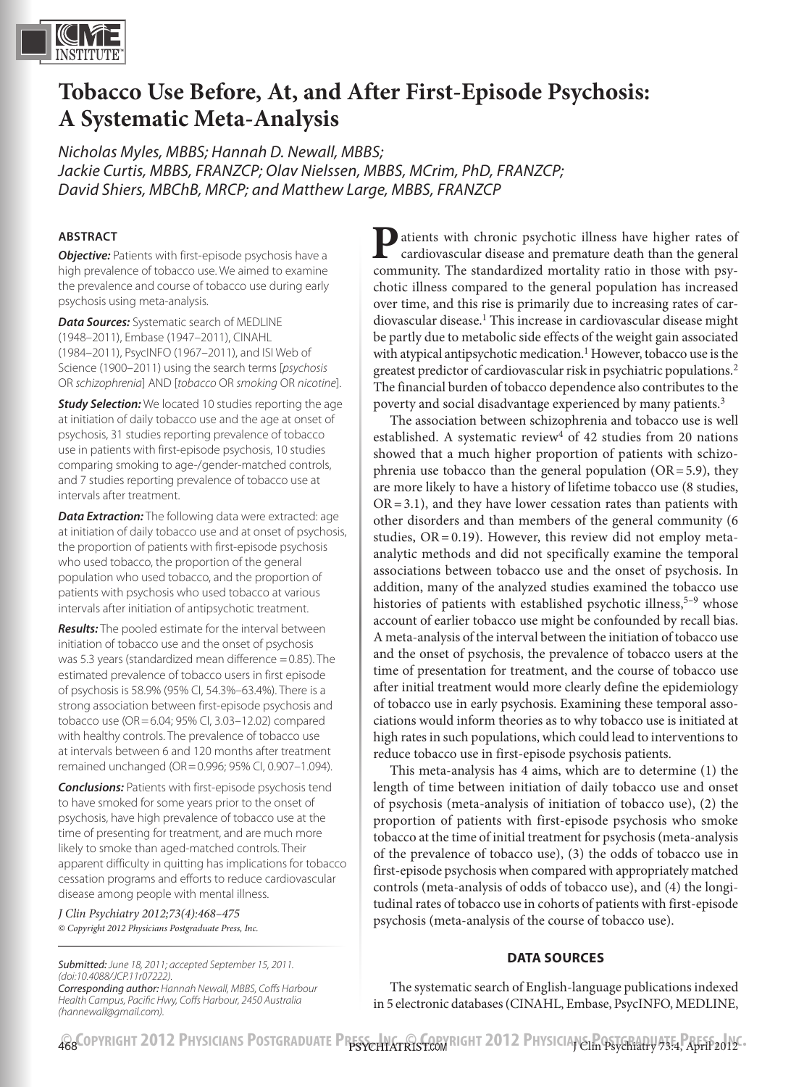

# **Tobacco Use Before, At, and After First-Episode Psychosis: A Systematic Meta-Analysis**

*Nicholas Myles, MBBS; Hannah D. Newall, MBBS; Jackie Curtis, MBBS, FRANZCP; Olav Nielssen, MBBS, MCrim, PhD, FRANZCP; David Shiers, MBChB, MRCP; and Matthew Large, MBBS, FRANZCP*

#### **ABSTRACT**

*Objective:* Patients with first-episode psychosis have a high prevalence of tobacco use. We aimed to examine the prevalence and course of tobacco use during early psychosis using meta-analysis.

*Data Sources:* Systematic search of MEDLINE (1948–2011), Embase (1947–2011), CINAHL (1984–2011), PsycINFO (1967–2011), and ISI Web of Science (1900–2011) using the search terms [*psychosis* OR *schizophrenia*] AND [*tobacco* OR *smoking* OR *nicotine*].

**Study Selection:** We located 10 studies reporting the age at initiation of daily tobacco use and the age at onset of psychosis, 31 studies reporting prevalence of tobacco use in patients with first-episode psychosis, 10 studies comparing smoking to age-/gender-matched controls, and 7 studies reporting prevalence of tobacco use at intervals after treatment.

*Data Extraction:* The following data were extracted: age at initiation of daily tobacco use and at onset of psychosis, the proportion of patients with first-episode psychosis who used tobacco, the proportion of the general population who used tobacco, and the proportion of patients with psychosis who used tobacco at various intervals after initiation of antipsychotic treatment.

*Results:* The pooled estimate for the interval between initiation of tobacco use and the onset of psychosis was 5.3 years (standardized mean difference =0.85). The estimated prevalence of tobacco users in first episode of psychosis is 58.9% (95% CI, 54.3%–63.4%). There is a strong association between first-episode psychosis and tobacco use (OR=6.04; 95% CI, 3.03–12.02) compared with healthy controls. The prevalence of tobacco use at intervals between 6 and 120 months after treatment remained unchanged (OR=0.996; 95% CI, 0.907–1.094).

*Conclusions:* Patients with first-episode psychosis tend to have smoked for some years prior to the onset of psychosis, have high prevalence of tobacco use at the time of presenting for treatment, and are much more likely to smoke than aged-matched controls. Their apparent difficulty in quitting has implications for tobacco cessation programs and efforts to reduce cardiovascular disease among people with mental illness.

*J Clin Psychiatry 2012;73(4):468–475 © Copyright 2012 Physicians Postgraduate Press, Inc.*

**P**atients with chronic psychotic illness have higher rates of cardiovascular disease and premature death than the general community. The standardized mortality ratio in those with psychotic illness compared to the general population has increased over time, and this rise is primarily due to increasing rates of cardiovascular disease.<sup>1</sup> This increase in cardiovascular disease might be partly due to metabolic side effects of the weight gain associated with atypical antipsychotic medication.<sup>1</sup> However, tobacco use is the greatest predictor of cardiovascular risk in psychiatric populations.<sup>2</sup> The financial burden of tobacco dependence also contributes to the poverty and social disadvantage experienced by many patients.<sup>3</sup>

The association between schizophrenia and tobacco use is well established. A systematic review<sup>4</sup> of 42 studies from 20 nations showed that a much higher proportion of patients with schizophrenia use tobacco than the general population  $(OR = 5.9)$ , they are more likely to have a history of lifetime tobacco use (8 studies,  $OR = 3.1$ ), and they have lower cessation rates than patients with other disorders and than members of the general community (6 studies,  $OR = 0.19$ ). However, this review did not employ metaanalytic methods and did not specifically examine the temporal associations between tobacco use and the onset of psychosis. In addition, many of the analyzed studies examined the tobacco use histories of patients with established psychotic illness,  $5-9$  whose account of earlier tobacco use might be confounded by recall bias. A meta-analysis of the interval between the initiation of tobacco use and the onset of psychosis, the prevalence of tobacco users at the time of presentation for treatment, and the course of tobacco use after initial treatment would more clearly define the epidemiology of tobacco use in early psychosis. Examining these temporal associations would inform theories as to why tobacco use is initiated at high rates in such populations, which could lead to interventions to reduce tobacco use in first-episode psychosis patients.

This meta-analysis has 4 aims, which are to determine (1) the length of time between initiation of daily tobacco use and onset of psychosis (meta-analysis of initiation of tobacco use), (2) the proportion of patients with first-episode psychosis who smoke tobacco at the time of initial treatment for psychosis (meta-analysis of the prevalence of tobacco use), (3) the odds of tobacco use in first-episode psychosis when compared with appropriately matched controls (meta-analysis of odds of tobacco use), and (4) the longitudinal rates of tobacco use in cohorts of patients with first-episode psychosis (meta-analysis of the course of tobacco use).

#### **DATA SOURCES**

The systematic search of English-language publications indexed in 5 electronic databases (CINAHL, Embase, PsycINFO, MEDLINE,

*(doi:10.4088/JCP.11r07222). Corresponding author: Hannah Newall, MBBS, Coffs Harbour Health Campus, Pacific Hwy, Coffs Harbour, 2450 Australia (hannewall@gmail.com).*

*Submitted: June 18, 2011; accepted September 15, 2011.* 

**GOPYRIGHT 2012 PHYSICIANS POSTGRADUATE PRESS, INCREDITION RIGHT 2012 PHYSICIANS Press, April 2012-**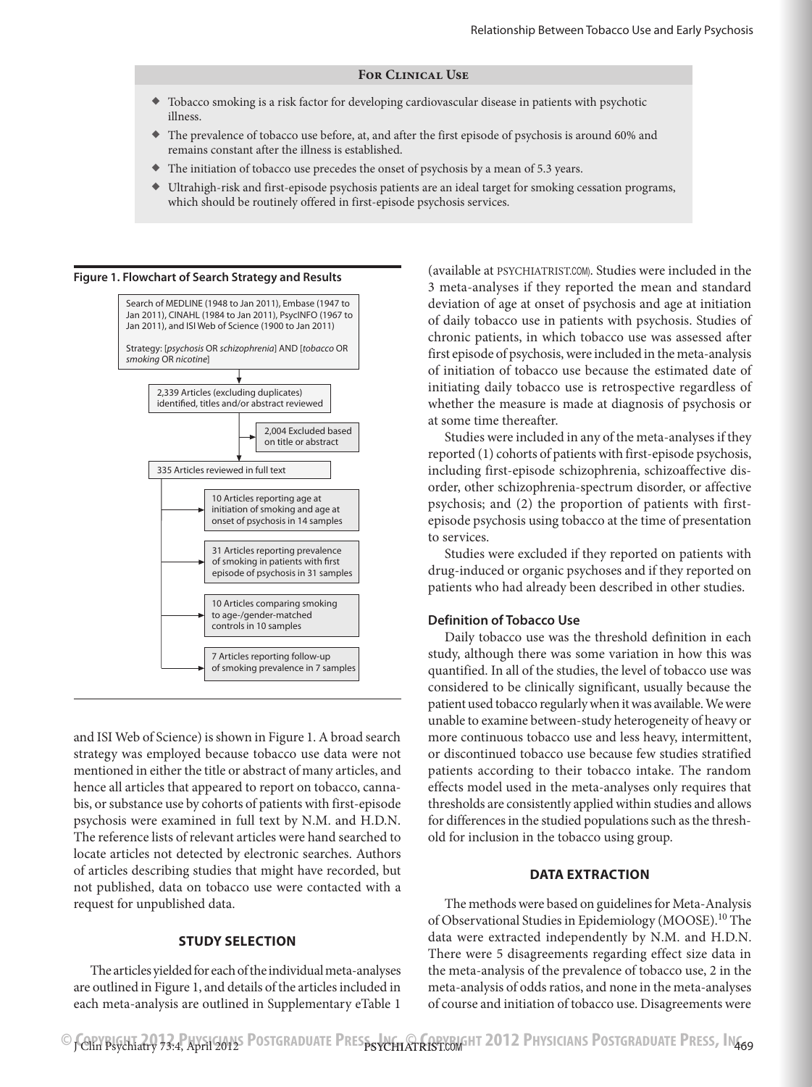#### **For Clinical Use**

- ◆ Tobacco smoking is a risk factor for developing cardiovascular disease in patients with psychotic illness.
- ◆ The prevalence of tobacco use before, at, and after the first episode of psychosis is around 60% and remains constant after the illness is established.
- ◆ The initiation of tobacco use precedes the onset of psychosis by a mean of 5.3 years.
- ◆ Ultrahigh-risk and first-episode psychosis patients are an ideal target for smoking cessation programs, which should be routinely offered in first-episode psychosis services.



and ISI Web of Science) is shown in Figure 1. A broad search strategy was employed because tobacco use data were not mentioned in either the title or abstract of many articles, and hence all articles that appeared to report on tobacco, cannabis, or substance use by cohorts of patients with first-episode psychosis were examined in full text by N.M. and H.D.N. The reference lists of relevant articles were hand searched to locate articles not detected by electronic searches. Authors of articles describing studies that might have recorded, but not published, data on tobacco use were contacted with a request for unpublished data.

#### **STUDY SELECTION**

The articles yielded for each of the individual meta-analyses are outlined in Figure 1, and details of the articles included in each meta-analysis are outlined in Supplementary eTable 1

(available at PSYCHIATRIST.COM). Studies were included in the 3 meta-analyses if they reported the mean and standard deviation of age at onset of psychosis and age at initiation of daily tobacco use in patients with psychosis. Studies of chronic patients, in which tobacco use was assessed after first episode of psychosis, were included in the meta-analysis of initiation of tobacco use because the estimated date of initiating daily tobacco use is retrospective regardless of whether the measure is made at diagnosis of psychosis or at some time thereafter.

Studies were included in any of the meta-analyses if they reported (1) cohorts of patients with first-episode psychosis, including first-episode schizophrenia, schizoaffective disorder, other schizophrenia-spectrum disorder, or affective psychosis; and (2) the proportion of patients with firstepisode psychosis using tobacco at the time of presentation to services.

Studies were excluded if they reported on patients with drug-induced or organic psychoses and if they reported on patients who had already been described in other studies.

#### **Definition of Tobacco Use**

Daily tobacco use was the threshold definition in each study, although there was some variation in how this was quantified. In all of the studies, the level of tobacco use was considered to be clinically significant, usually because the patient used tobacco regularly when it was available. We were unable to examine between-study heterogeneity of heavy or more continuous tobacco use and less heavy, intermittent, or discontinued tobacco use because few studies stratified patients according to their tobacco intake. The random effects model used in the meta-analyses only requires that thresholds are consistently applied within studies and allows for differences in the studied populations such as the threshold for inclusion in the tobacco using group.

#### **DATA EXTRACTION**

The methods were based on guidelines for Meta-Analysis of Observational Studies in Epidemiology (MOOSE).<sup>10</sup> The data were extracted independently by N.M. and H.D.N. There were 5 disagreements regarding effect size data in the meta-analysis of the prevalence of tobacco use, 2 in the meta-analysis of odds ratios, and none in the meta-analyses of course and initiation of tobacco use. Disagreements were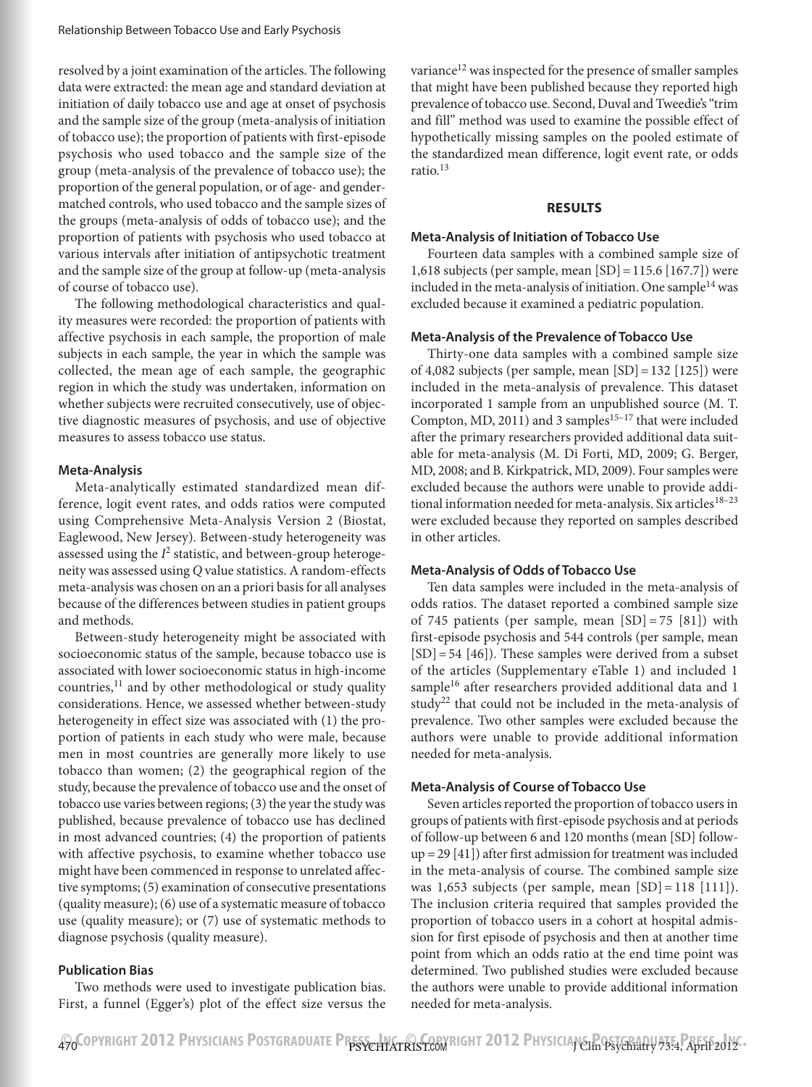resolved by a joint examination of the articles. The following data were extracted: the mean age and standard deviation at initiation of daily tobacco use and age at onset of psychosis and the sample size of the group (meta-analysis of initiation of tobacco use); the proportion of patients with first-episode psychosis who used tobacco and the sample size of the group (meta-analysis of the prevalence of tobacco use); the proportion of the general population, or of age- and gendermatched controls, who used tobacco and the sample sizes of the groups (meta-analysis of odds of tobacco use); and the proportion of patients with psychosis who used tobacco at various intervals after initiation of antipsychotic treatment and the sample size of the group at follow-up (meta-analysis of course of tobacco use).

The following methodological characteristics and quality measures were recorded: the proportion of patients with affective psychosis in each sample, the proportion of male subjects in each sample, the year in which the sample was collected, the mean age of each sample, the geographic region in which the study was undertaken, information on whether subjects were recruited consecutively, use of objective diagnostic measures of psychosis, and use of objective measures to assess tobacco use status.

#### **Meta-Analysis**

Meta-analytically estimated standardized mean difference, logit event rates, and odds ratios were computed using Comprehensive Meta-Analysis Version 2 (Biostat, Eaglewood, New Jersey). Between-study heterogeneity was assessed using the  $I^2$  statistic, and between-group heterogeneity was assessed using *Q* value statistics. A random-effects meta-analysis was chosen on an a priori basis for all analyses because of the differences between studies in patient groups and methods.

Between-study heterogeneity might be associated with socioeconomic status of the sample, because tobacco use is associated with lower socioeconomic status in high-income countries, $^{11}$  and by other methodological or study quality considerations. Hence, we assessed whether between-study heterogeneity in effect size was associated with (1) the proportion of patients in each study who were male, because men in most countries are generally more likely to use tobacco than women; (2) the geographical region of the study, because the prevalence of tobacco use and the onset of tobacco use varies between regions; (3) the year the study was published, because prevalence of tobacco use has declined in most advanced countries; (4) the proportion of patients with affective psychosis, to examine whether tobacco use might have been commenced in response to unrelated affective symptoms; (5) examination of consecutive presentations (quality measure); (6) use of a systematic measure of tobacco use (quality measure); or (7) use of systematic methods to diagnose psychosis (quality measure).

#### **Publication Bias**

Two methods were used to investigate publication bias. First, a funnel (Egger's) plot of the effect size versus the variance<sup>12</sup> was inspected for the presence of smaller samples that might have been published because they reported high prevalence of tobacco use. Second, Duval and Tweedie's "trim and fill" method was used to examine the possible effect of hypothetically missing samples on the pooled estimate of the standardized mean difference, logit event rate, or odds ratio $13$ 

#### **RESULTS**

#### **Meta-Analysis of Initiation of Tobacco Use**

Fourteen data samples with a combined sample size of 1,618 subjects (per sample, mean [SD]=115.6 [167.7]) were included in the meta-analysis of initiation. One sample $^{14}$  was excluded because it examined a pediatric population.

#### **Meta-Analysis of the Prevalence of Tobacco Use**

Thirty-one data samples with a combined sample size of 4,082 subjects (per sample, mean  $[SD] = 132$   $[125]$ ) were included in the meta-analysis of prevalence. This dataset incorporated 1 sample from an unpublished source (M. T. Compton, MD, 2011) and 3 samples<sup>15-17</sup> that were included after the primary researchers provided additional data suitable for meta-analysis (M. Di Forti, MD, 2009; G. Berger, MD, 2008; and B. Kirkpatrick, MD, 2009). Four samples were excluded because the authors were unable to provide additional information needed for meta-analysis. Six articles<sup>18–23</sup> were excluded because they reported on samples described in other articles.

#### **Meta-Analysis of Odds of Tobacco Use**

Ten data samples were included in the meta-analysis of odds ratios. The dataset reported a combined sample size of 745 patients (per sample, mean  $[SD] = 75$   $[81]$ ) with first-episode psychosis and 544 controls (per sample, mean  $[SD] = 54 [46]$ . These samples were derived from a subset of the articles (Supplementary eTable 1) and included 1 sample<sup>16</sup> after researchers provided additional data and 1 study<sup>22</sup> that could not be included in the meta-analysis of prevalence. Two other samples were excluded because the authors were unable to provide additional information needed for meta-analysis.

#### **Meta-Analysis of Course of Tobacco Use**

Seven articles reported the proportion of tobacco users in groups of patients with first-episode psychosis and at periods of follow-up between 6 and 120 months (mean [SD] followup =29 [41]) after first admission for treatment was included in the meta-analysis of course. The combined sample size was 1,653 subjects (per sample, mean  $[SD] = 118 [111]$ ). The inclusion criteria required that samples provided the proportion of tobacco users in a cohort at hospital admission for first episode of psychosis and then at another time point from which an odds ratio at the end time point was determined. Two published studies were excluded because the authors were unable to provide additional information needed for meta-analysis.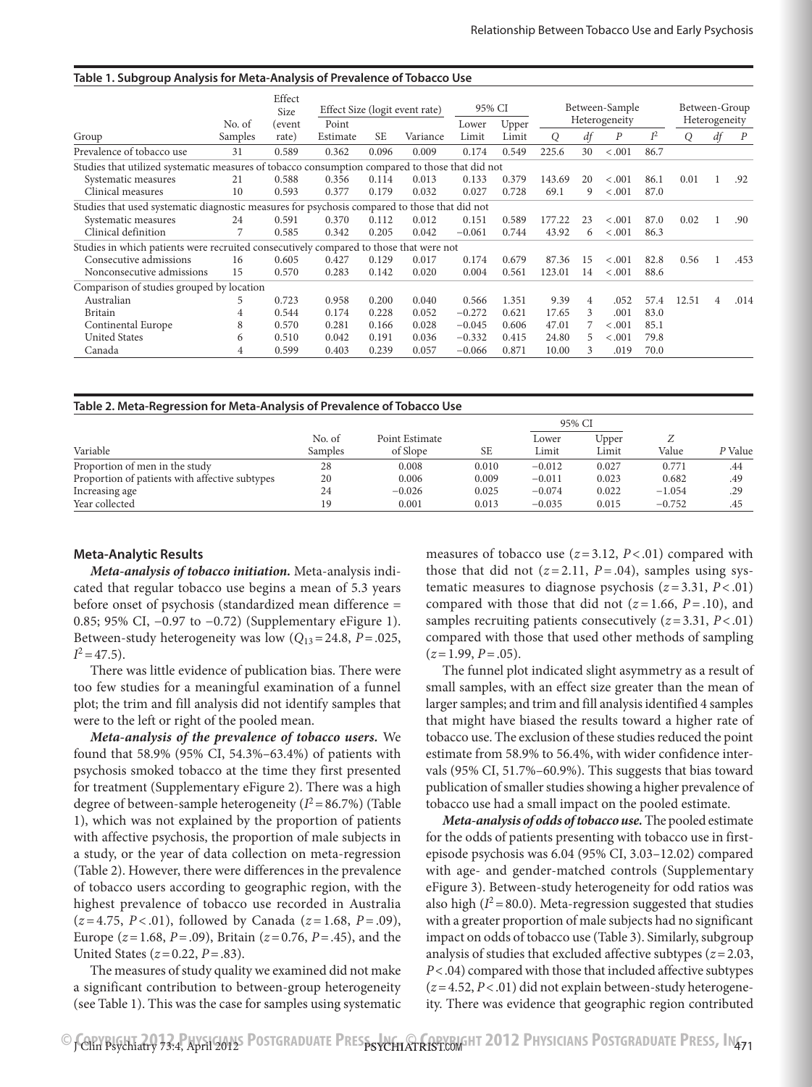| Table 1. Subgroup Analysis for Meta-Analysis of Prevalence of Tobacco Use                       |         |                 |                                |           |          |                |                                 |        |    |                  |                                |       |    |                  |
|-------------------------------------------------------------------------------------------------|---------|-----------------|--------------------------------|-----------|----------|----------------|---------------------------------|--------|----|------------------|--------------------------------|-------|----|------------------|
|                                                                                                 | No. of  | Effect<br>Size  | Effect Size (logit event rate) |           | 95% CI   |                | Between-Sample<br>Heterogeneity |        |    |                  | Between-Group<br>Heterogeneity |       |    |                  |
| Group                                                                                           | Samples | (event<br>rate) | Point<br>Estimate              | <b>SE</b> | Variance | Lower<br>Limit | Upper<br>Limit                  | O      | df | $\boldsymbol{P}$ | $I^2$                          | Q     | df | $\boldsymbol{P}$ |
| Prevalence of tobacco use                                                                       | 31      | 0.589           | 0.362                          | 0.096     | 0.009    | 0.174          | 0.549                           | 225.6  | 30 | < .001           | 86.7                           |       |    |                  |
| Studies that utilized systematic measures of tobacco consumption compared to those that did not |         |                 |                                |           |          |                |                                 |        |    |                  |                                |       |    |                  |
| Systematic measures                                                                             | 21      | 0.588           | 0.356                          | 0.114     | 0.013    | 0.133          | 0.379                           | 143.69 | 20 | < .001           | 86.1                           | 0.01  |    | .92              |
| Clinical measures                                                                               | 10      | 0.593           | 0.377                          | 0.179     | 0.032    | 0.027          | 0.728                           | 69.1   | 9  | < .001           | 87.0                           |       |    |                  |
| Studies that used systematic diagnostic measures for psychosis compared to those that did not   |         |                 |                                |           |          |                |                                 |        |    |                  |                                |       |    |                  |
| Systematic measures                                                                             | 24      | 0.591           | 0.370                          | 0.112     | 0.012    | 0.151          | 0.589                           | 177.22 | 23 | < .001           | 87.0                           | 0.02  |    | .90              |
| Clinical definition                                                                             |         | 0.585           | 0.342                          | 0.205     | 0.042    | $-0.061$       | 0.744                           | 43.92  | 6  | < .001           | 86.3                           |       |    |                  |
| Studies in which patients were recruited consecutively compared to those that were not          |         |                 |                                |           |          |                |                                 |        |    |                  |                                |       |    |                  |
| Consecutive admissions                                                                          | 16      | 0.605           | 0.427                          | 0.129     | 0.017    | 0.174          | 0.679                           | 87.36  | 15 | < .001           | 82.8                           | 0.56  |    | .453             |
| Nonconsecutive admissions                                                                       | 15      | 0.570           | 0.283                          | 0.142     | 0.020    | 0.004          | 0.561                           | 123.01 | 14 | < .001           | 88.6                           |       |    |                  |
| Comparison of studies grouped by location                                                       |         |                 |                                |           |          |                |                                 |        |    |                  |                                |       |    |                  |
| Australian                                                                                      | 5       | 0.723           | 0.958                          | 0.200     | 0.040    | 0.566          | 1.351                           | 9.39   | 4  | .052             | 57.4                           | 12.51 | 4  | .014             |
| <b>Britain</b>                                                                                  | 4       | 0.544           | 0.174                          | 0.228     | 0.052    | $-0.272$       | 0.621                           | 17.65  | 3  | .001             | 83.0                           |       |    |                  |
| Continental Europe                                                                              | 8       | 0.570           | 0.281                          | 0.166     | 0.028    | $-0.045$       | 0.606                           | 47.01  |    | < .001           | 85.1                           |       |    |                  |
| <b>United States</b>                                                                            | 6       | 0.510           | 0.042                          | 0.191     | 0.036    | $-0.332$       | 0.415                           | 24.80  | 5  | < .001           | 79.8                           |       |    |                  |
| Canada                                                                                          | 4       | 0.599           | 0.403                          | 0.239     | 0.057    | $-0.066$       | 0.871                           | 10.00  | 3  | .019             | 70.0                           |       |    |                  |

| Table 2. Meta-Regression for Meta-Analysis of Prevalence of Tobacco Use |         |                |       |          |       |          |         |  |  |  |  |
|-------------------------------------------------------------------------|---------|----------------|-------|----------|-------|----------|---------|--|--|--|--|
|                                                                         |         |                |       | 95% CI   |       |          |         |  |  |  |  |
|                                                                         | No. of  | Point Estimate |       | Lower    | Upper |          |         |  |  |  |  |
| Variable                                                                | Samples | of Slope       | SE    | Limit    | Limit | Value    | P Value |  |  |  |  |
| Proportion of men in the study                                          | 28      | 0.008          | 0.010 | $-0.012$ | 0.027 | 0.771    | .44     |  |  |  |  |
| Proportion of patients with affective subtypes                          | 20      | 0.006          | 0.009 | $-0.011$ | 0.023 | 0.682    | .49     |  |  |  |  |
| Increasing age                                                          | 24      | $-0.026$       | 0.025 | $-0.074$ | 0.022 | $-1.054$ | .29     |  |  |  |  |
| Year collected                                                          | 19      | 0.001          | 0.013 | $-0.035$ | 0.015 | $-0.752$ | .45     |  |  |  |  |

#### **Meta-Analytic Results**

*Meta-analysis of tobacco initiation.* Meta-analysis indicated that regular tobacco use begins a mean of 5.3 years before onset of psychosis (standardized mean difference = 0.85; 95% CI, −0.97 to −0.72) (Supplementary eFigure 1). Between-study heterogeneity was low  $(Q_{13}=24.8, P=.025,$  $I^2 = 47.5$ ).

There was little evidence of publication bias. There were too few studies for a meaningful examination of a funnel plot; the trim and fill analysis did not identify samples that were to the left or right of the pooled mean.

*Meta-analysis of the prevalence of tobacco users.* We found that 58.9% (95% CI, 54.3%–63.4%) of patients with psychosis smoked tobacco at the time they first presented for treatment (Supplementary eFigure 2). There was a high degree of between-sample heterogeneity  $(I^2 = 86.7\%)$  (Table 1), which was not explained by the proportion of patients with affective psychosis, the proportion of male subjects in a study, or the year of data collection on meta-regression (Table 2). However, there were differences in the prevalence of tobacco users according to geographic region, with the highest prevalence of tobacco use recorded in Australia (*z* = 4.75, *P* < .01), followed by Canada (*z* = 1.68, *P* = .09), Europe (*z*=1.68, *P*=.09), Britain (*z*=0.76, *P*=.45), and the United States (*z*=0.22, *P*=.83).

The measures of study quality we examined did not make a significant contribution to between-group heterogeneity (see Table 1). This was the case for samples using systematic measures of tobacco use  $(z=3.12, P<.01)$  compared with those that did not  $(z=2.11, P=.04)$ , samples using systematic measures to diagnose psychosis  $(z=3.31, P<.01)$ compared with those that did not  $(z=1.66, P=.10)$ , and samples recruiting patients consecutively (*z*=3.31, *P*<.01) compared with those that used other methods of sampling  $(z=1.99, P=.05)$ .

The funnel plot indicated slight asymmetry as a result of small samples, with an effect size greater than the mean of larger samples; and trim and fill analysis identified 4 samples that might have biased the results toward a higher rate of tobacco use. The exclusion of these studies reduced the point estimate from 58.9% to 56.4%, with wider confidence intervals (95% CI, 51.7%–60.9%). This suggests that bias toward publication of smaller studies showing a higher prevalence of tobacco use had a small impact on the pooled estimate.

*Meta-analysis of odds of tobacco use.* The pooled estimate for the odds of patients presenting with tobacco use in firstepisode psychosis was 6.04 (95% CI, 3.03–12.02) compared with age- and gender-matched controls (Supplementary eFigure 3). Between-study heterogeneity for odd ratios was also high  $(I^2 = 80.0)$ . Meta-regression suggested that studies with a greater proportion of male subjects had no significant impact on odds of tobacco use (Table 3). Similarly, subgroup analysis of studies that excluded affective subtypes (*z*=2.03, *P*<.04) compared with those that included affective subtypes (*z*=4.52, *P*<.01) did not explain between-study heterogeneity. There was evidence that geographic region contributed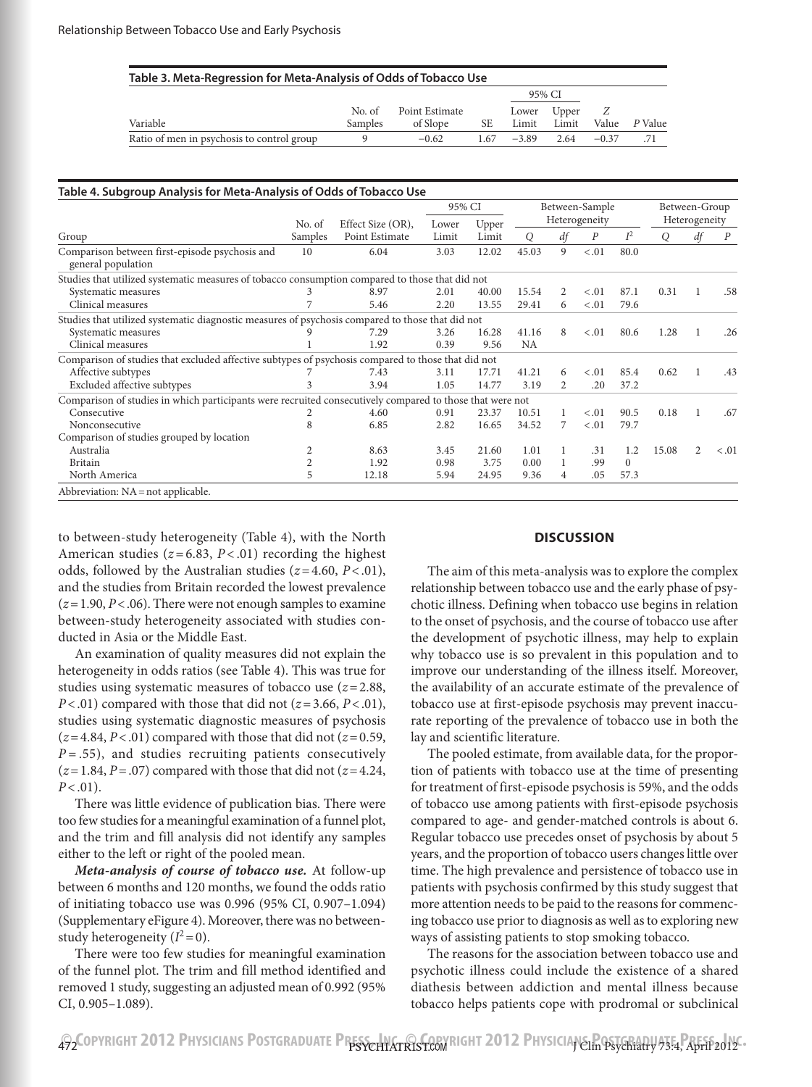| Table 3. Meta-Regression for Meta-Analysis of Odds of Tobacco Use |         |                |      |         |       |         |         |  |  |  |  |
|-------------------------------------------------------------------|---------|----------------|------|---------|-------|---------|---------|--|--|--|--|
|                                                                   |         |                |      | 95% CI  |       |         |         |  |  |  |  |
|                                                                   | No. of  | Point Estimate |      | Lower   | Upper |         |         |  |  |  |  |
| Variable                                                          | Samples | of Slope       | SE   | Limit   | Limit | Value   | P Value |  |  |  |  |
| Ratio of men in psychosis to control group                        |         | $-0.62$        | 1.67 | $-3.89$ | 2.64  | $-0.37$ |         |  |  |  |  |

|                                                                                                          |         |                   | 95% CI |       |           |    | Between-Sample |          | Between-Group |               |                  |
|----------------------------------------------------------------------------------------------------------|---------|-------------------|--------|-------|-----------|----|----------------|----------|---------------|---------------|------------------|
|                                                                                                          | No. of  | Effect Size (OR), | Lower  | Upper |           |    | Heterogeneity  |          |               | Heterogeneity |                  |
| Group                                                                                                    | Samples | Point Estimate    | Limit  | Limit | O         | df | P              | $I^2$    | O             | df            | $\boldsymbol{P}$ |
| Comparison between first-episode psychosis and<br>general population                                     | 10      | 6.04              | 3.03   | 12.02 | 45.03     | 9  | < .01          | 80.0     |               |               |                  |
| Studies that utilized systematic measures of tobacco consumption compared to those that did not          |         |                   |        |       |           |    |                |          |               |               |                  |
| Systematic measures                                                                                      |         | 8.97              | 2.01   | 40.00 | 15.54     | 2  | < .01          | 87.1     | 0.31          |               | .58              |
| Clinical measures                                                                                        |         | 5.46              | 2.20   | 13.55 | 29.41     | 6  | < .01          | 79.6     |               |               |                  |
| Studies that utilized systematic diagnostic measures of psychosis compared to those that did not         |         |                   |        |       |           |    |                |          |               |               |                  |
| Systematic measures                                                                                      |         | 7.29              | 3.26   | 16.28 | 41.16     | 8  | < 0.01         | 80.6     | 1.28          | 1             | .26              |
| Clinical measures                                                                                        |         | 1.92              | 0.39   | 9.56  | <b>NA</b> |    |                |          |               |               |                  |
| Comparison of studies that excluded affective subtypes of psychosis compared to those that did not       |         |                   |        |       |           |    |                |          |               |               |                  |
| Affective subtypes                                                                                       |         | 7.43              | 3.11   | 17.71 | 41.21     | 6  | < .01          | 85.4     | 0.62          |               | .43              |
| Excluded affective subtypes                                                                              |         | 3.94              | 1.05   | 14.77 | 3.19      | 2  | .20            | 37.2     |               |               |                  |
| Comparison of studies in which participants were recruited consecutively compared to those that were not |         |                   |        |       |           |    |                |          |               |               |                  |
| Consecutive                                                                                              |         | 4.60              | 0.91   | 23.37 | 10.51     |    | < .01          | 90.5     | 0.18          | -1            | .67              |
| Nonconsecutive                                                                                           | 8       | 6.85              | 2.82   | 16.65 | 34.52     | 7  | < 0.01         | 79.7     |               |               |                  |
| Comparison of studies grouped by location                                                                |         |                   |        |       |           |    |                |          |               |               |                  |
| Australia                                                                                                |         | 8.63              | 3.45   | 21.60 | 1.01      |    | .31            | 1.2      | 15.08         | 2             | < 0.01           |
| <b>Britain</b>                                                                                           |         | 1.92              | 0.98   | 3.75  | 0.00      |    | .99            | $\Omega$ |               |               |                  |
| North America                                                                                            | 5       | 12.18             | 5.94   | 24.95 | 9.36      | 4  | .05            | 57.3     |               |               |                  |

to between-study heterogeneity (Table 4), with the North American studies  $(z=6.83, P<.01)$  recording the highest odds, followed by the Australian studies (*z*=4.60, *P*<.01), and the studies from Britain recorded the lowest prevalence  $(z=1.90, P<.06)$ . There were not enough samples to examine between-study heterogeneity associated with studies conducted in Asia or the Middle East.

An examination of quality measures did not explain the heterogeneity in odds ratios (see Table 4). This was true for studies using systematic measures of tobacco use (*z*=2.88, *P*<.01) compared with those that did not (*z*=3.66, *P*<.01), studies using systematic diagnostic measures of psychosis  $(z=4.84, P<.01)$  compared with those that did not  $(z=0.59, P<.01)$  $P = .55$ ), and studies recruiting patients consecutively  $(z=1.84, P=.07)$  compared with those that did not  $(z=4.24,$ *P*<.01).

There was little evidence of publication bias. There were too few studies for a meaningful examination of a funnel plot, and the trim and fill analysis did not identify any samples either to the left or right of the pooled mean.

*Meta-analysis of course of tobacco use.* At follow-up between 6 months and 120 months, we found the odds ratio of initiating tobacco use was 0.996 (95% CI, 0.907–1.094) (Supplementary eFigure 4). Moreover, there was no betweenstudy heterogeneity  $(I^2=0)$ .

There were too few studies for meaningful examination of the funnel plot. The trim and fill method identified and removed 1 study, suggesting an adjusted mean of 0.992 (95% CI, 0.905–1.089).

#### **DISCUSSION**

The aim of this meta-analysis was to explore the complex relationship between tobacco use and the early phase of psychotic illness. Defining when tobacco use begins in relation to the onset of psychosis, and the course of tobacco use after the development of psychotic illness, may help to explain why tobacco use is so prevalent in this population and to improve our understanding of the illness itself. Moreover, the availability of an accurate estimate of the prevalence of tobacco use at first-episode psychosis may prevent inaccurate reporting of the prevalence of tobacco use in both the lay and scientific literature.

The pooled estimate, from available data, for the proportion of patients with tobacco use at the time of presenting for treatment of first-episode psychosis is 59%, and the odds of tobacco use among patients with first-episode psychosis compared to age- and gender-matched controls is about 6. Regular tobacco use precedes onset of psychosis by about 5 years, and the proportion of tobacco users changes little over time. The high prevalence and persistence of tobacco use in patients with psychosis confirmed by this study suggest that more attention needs to be paid to the reasons for commencing tobacco use prior to diagnosis as well as to exploring new ways of assisting patients to stop smoking tobacco.

The reasons for the association between tobacco use and psychotic illness could include the existence of a shared diathesis between addiction and mental illness because tobacco helps patients cope with prodromal or subclinical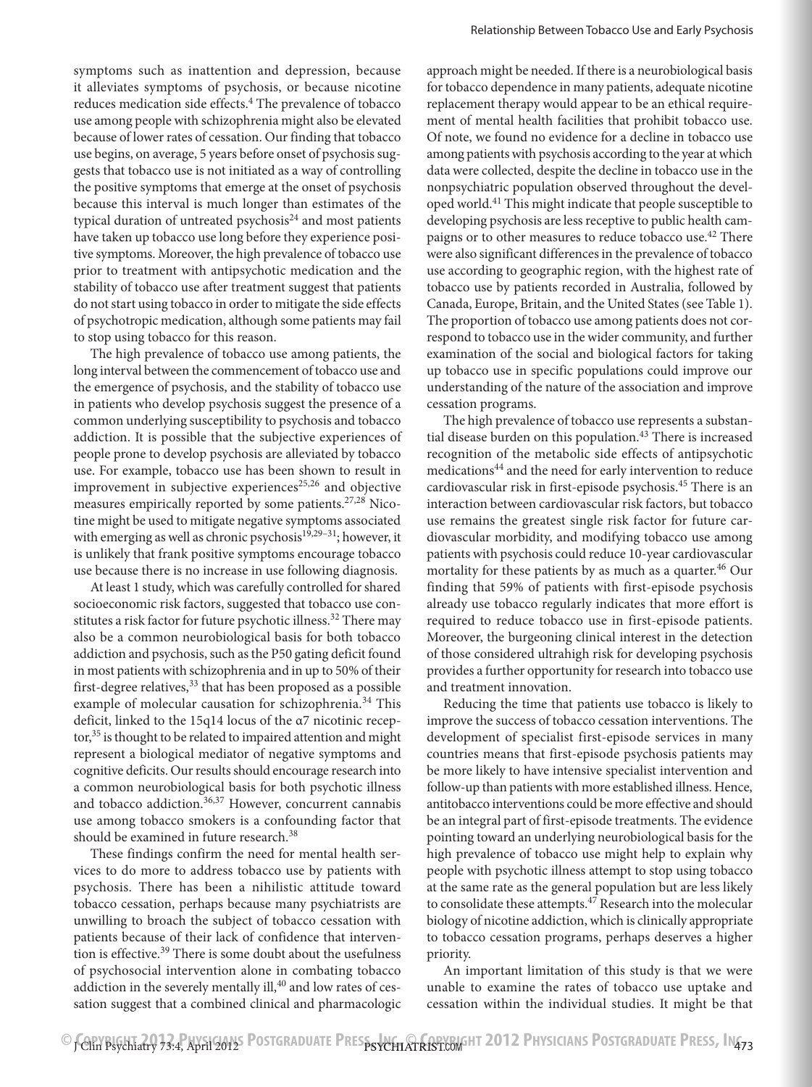symptoms such as inattention and depression, because it alleviates symptoms of psychosis, or because nicotine reduces medication side effects.<sup>4</sup> The prevalence of tobacco use among people with schizophrenia might also be elevated because of lower rates of cessation. Our finding that tobacco use begins, on average, 5 years before onset of psychosis suggests that tobacco use is not initiated as a way of controlling the positive symptoms that emerge at the onset of psychosis because this interval is much longer than estimates of the typical duration of untreated psychosis $^{24}$  and most patients have taken up tobacco use long before they experience positive symptoms. Moreover, the high prevalence of tobacco use prior to treatment with antipsychotic medication and the stability of tobacco use after treatment suggest that patients do not start using tobacco in order to mitigate the side effects of psychotropic medication, although some patients may fail to stop using tobacco for this reason.

The high prevalence of tobacco use among patients, the long interval between the commencement of tobacco use and the emergence of psychosis, and the stability of tobacco use in patients who develop psychosis suggest the presence of a common underlying susceptibility to psychosis and tobacco addiction. It is possible that the subjective experiences of people prone to develop psychosis are alleviated by tobacco use. For example, tobacco use has been shown to result in improvement in subjective experiences<sup>25,26</sup> and objective measures empirically reported by some patients.<sup>27,28</sup> Nicotine might be used to mitigate negative symptoms associated with emerging as well as chronic psychosis $19,29-31$ ; however, it is unlikely that frank positive symptoms encourage tobacco use because there is no increase in use following diagnosis.

At least 1 study, which was carefully controlled for shared socioeconomic risk factors, suggested that tobacco use constitutes a risk factor for future psychotic illness.<sup>32</sup> There may also be a common neurobiological basis for both tobacco addiction and psychosis, such as the P50 gating deficit found in most patients with schizophrenia and in up to 50% of their first-degree relatives,  $33$  that has been proposed as a possible example of molecular causation for schizophrenia.<sup>34</sup> This deficit, linked to the 15q14 locus of the α7 nicotinic receptor,<sup>35</sup> is thought to be related to impaired attention and might represent a biological mediator of negative symptoms and cognitive deficits. Our results should encourage research into a common neurobiological basis for both psychotic illness and tobacco addiction.<sup>36,37</sup> However, concurrent cannabis use among tobacco smokers is a confounding factor that should be examined in future research.<sup>38</sup>

These findings confirm the need for mental health services to do more to address tobacco use by patients with psychosis. There has been a nihilistic attitude toward tobacco cessation, perhaps because many psychiatrists are unwilling to broach the subject of tobacco cessation with patients because of their lack of confidence that intervention is effective.<sup>39</sup> There is some doubt about the usefulness of psychosocial intervention alone in combating tobacco addiction in the severely mentally ill,<sup>40</sup> and low rates of cessation suggest that a combined clinical and pharmacologic

approach might be needed. If there is a neurobiological basis for tobacco dependence in many patients, adequate nicotine replacement therapy would appear to be an ethical requirement of mental health facilities that prohibit tobacco use. Of note, we found no evidence for a decline in tobacco use among patients with psychosis according to the year at which data were collected, despite the decline in tobacco use in the nonpsychiatric population observed throughout the developed world.41 This might indicate that people susceptible to developing psychosis are less receptive to public health campaigns or to other measures to reduce tobacco use.<sup>42</sup> There were also significant differences in the prevalence of tobacco use according to geographic region, with the highest rate of tobacco use by patients recorded in Australia, followed by Canada, Europe, Britain, and the United States (see Table 1). The proportion of tobacco use among patients does not correspond to tobacco use in the wider community, and further examination of the social and biological factors for taking up tobacco use in specific populations could improve our understanding of the nature of the association and improve cessation programs.

The high prevalence of tobacco use represents a substantial disease burden on this population. $43$  There is increased recognition of the metabolic side effects of antipsychotic medications<sup>44</sup> and the need for early intervention to reduce cardiovascular risk in first-episode psychosis.45 There is an interaction between cardiovascular risk factors, but tobacco use remains the greatest single risk factor for future cardiovascular morbidity, and modifying tobacco use among patients with psychosis could reduce 10-year cardiovascular mortality for these patients by as much as a quarter.<sup>46</sup> Our finding that 59% of patients with first-episode psychosis already use tobacco regularly indicates that more effort is required to reduce tobacco use in first-episode patients. Moreover, the burgeoning clinical interest in the detection of those considered ultrahigh risk for developing psychosis provides a further opportunity for research into tobacco use and treatment innovation.

Reducing the time that patients use tobacco is likely to improve the success of tobacco cessation interventions. The development of specialist first-episode services in many countries means that first-episode psychosis patients may be more likely to have intensive specialist intervention and follow-up than patients with more established illness. Hence, antitobacco interventions could be more effective and should be an integral part of first-episode treatments. The evidence pointing toward an underlying neurobiological basis for the high prevalence of tobacco use might help to explain why people with psychotic illness attempt to stop using tobacco at the same rate as the general population but are less likely to consolidate these attempts.<sup>47</sup> Research into the molecular biology of nicotine addiction, which is clinically appropriate to tobacco cessation programs, perhaps deserves a higher priority.

An important limitation of this study is that we were unable to examine the rates of tobacco use uptake and cessation within the individual studies. It might be that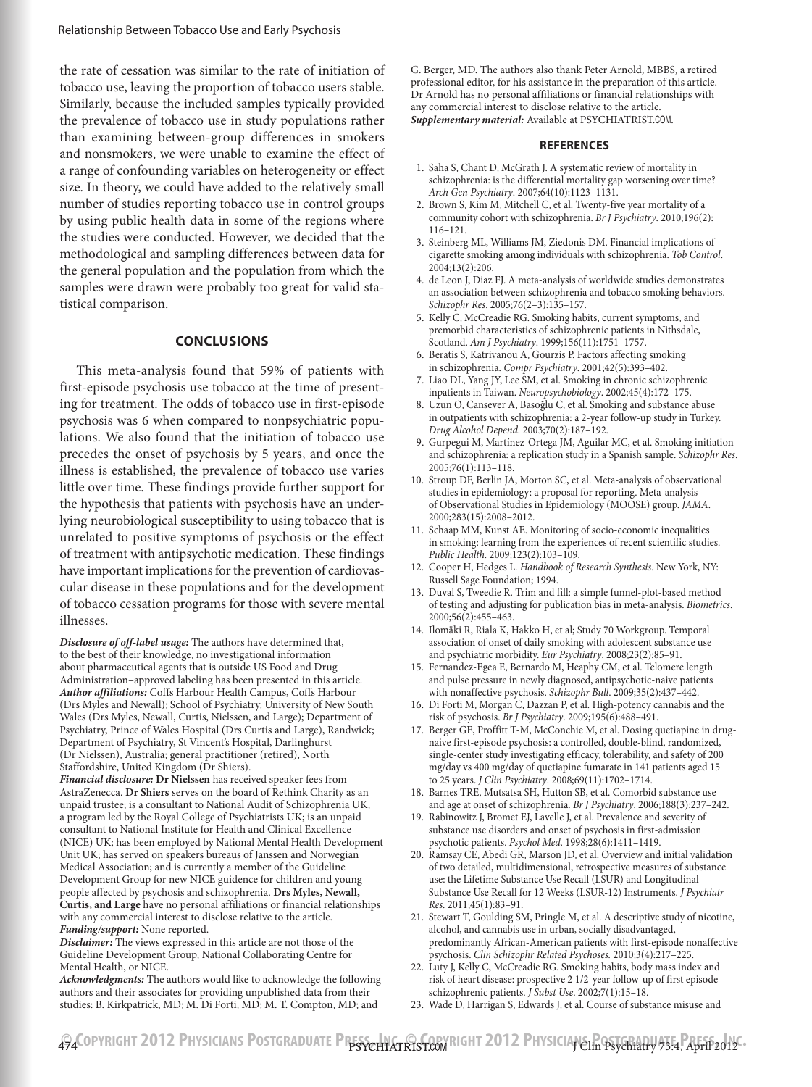the rate of cessation was similar to the rate of initiation of tobacco use, leaving the proportion of tobacco users stable. Similarly, because the included samples typically provided the prevalence of tobacco use in study populations rather than examining between-group differences in smokers and nonsmokers, we were unable to examine the effect of a range of confounding variables on heterogeneity or effect size. In theory, we could have added to the relatively small number of studies reporting tobacco use in control groups by using public health data in some of the regions where the studies were conducted. However, we decided that the methodological and sampling differences between data for the general population and the population from which the samples were drawn were probably too great for valid statistical comparison.

#### **CONCLUSIONS**

This meta-analysis found that 59% of patients with first-episode psychosis use tobacco at the time of presenting for treatment. The odds of tobacco use in first-episode psychosis was 6 when compared to nonpsychiatric populations. We also found that the initiation of tobacco use precedes the onset of psychosis by 5 years, and once the illness is established, the prevalence of tobacco use varies little over time. These findings provide further support for the hypothesis that patients with psychosis have an underlying neurobiological susceptibility to using tobacco that is unrelated to positive symptoms of psychosis or the effect of treatment with antipsychotic medication. These findings have important implications for the prevention of cardiovascular disease in these populations and for the development of tobacco cessation programs for those with severe mental illnesses.

*Disclosure of off-label usage:* The authors have determined that, to the best of their knowledge, no investigational information about pharmaceutical agents that is outside US Food and Drug Administration–approved labeling has been presented in this article. *Author affiliations:* Coffs Harbour Health Campus, Coffs Harbour (Drs Myles and Newall); School of Psychiatry, University of New South Wales (Drs Myles, Newall, Curtis, Nielssen, and Large); Department of Psychiatry, Prince of Wales Hospital (Drs Curtis and Large), Randwick; Department of Psychiatry, St Vincent's Hospital, Darlinghurst (Dr Nielssen), Australia; general practitioner (retired), North Staffordshire, United Kingdom (Dr Shiers).

*Financial disclosure:* **Dr Nielssen** has received speaker fees from AstraZenecca. **Dr Shiers** serves on the board of Rethink Charity as an unpaid trustee; is a consultant to National Audit of Schizophrenia UK, a program led by the Royal College of Psychiatrists UK; is an unpaid consultant to National Institute for Health and Clinical Excellence (NICE) UK; has been employed by National Mental Health Development Unit UK; has served on speakers bureaus of Janssen and Norwegian Medical Association; and is currently a member of the Guideline Development Group for new NICE guidence for children and young people affected by psychosis and schizophrenia. **Drs Myles, Newall, Curtis, and Large** have no personal affiliations or financial relationships with any commercial interest to disclose relative to the article. *Funding/support:* None reported.

*Disclaimer:* The views expressed in this article are not those of the Guideline Development Group, National Collaborating Centre for Mental Health, or NICE.

*Acknowledgments:* The authors would like to acknowledge the following authors and their associates for providing unpublished data from their studies: B. Kirkpatrick, MD; M. Di Forti, MD; M. T. Compton, MD; and

G. Berger, MD. The authors also thank Peter Arnold, MBBS, a retired professional editor, for his assistance in the preparation of this article. Dr Arnold has no personal affiliations or financial relationships with any commercial interest to disclose relative to the article. *Supplementary material:* Available at PSYCHIATRIST.COM.

#### **REFERENCES**

- 1. Saha S, Chant D, McGrath J. A systematic review of mortality in schizophrenia: is the differential mortality gap worsening over time? *Arch Gen Psychiatry*. 2007;64(10):1123-1131.
- 2. Brown S, Kim M, Mitchell C, et al. Twenty-five year mortality of a community cohort with schizophrenia. *Br J Psychiatry*. 2010;196(2):  $116 - 121.$
- 3. Steinberg ML, Williams JM, Ziedonis DM. Financial implications of cigarette smoking among individuals with schizophrenia. *Tob Control*. 2004;13(2):206.
- 4. de Leon J, Diaz FJ. A meta-analysis of worldwide studies demonstrates an association between schizophrenia and tobacco smoking behaviors. *Schizophr Res.* 2005;76(2-3):135-157.
- 5. Kelly C, McCreadie RG. Smoking habits, current symptoms, and premorbid characteristics of schizophrenic patients in Nithsdale, Scotland. *Am J Psychiatry*. 1999;156(11):1751-1757.
- 6. Beratis S, Katrivanou A, Gourzis P. Factors affecting smoking in schizophrenia. *Compr Psychiatry*. 2001;42(5):393-402.
- 7. Liao DL, Yang JY, Lee SM, et al. Smoking in chronic schizophrenic inpatients in Taiwan. *Neuropsychobiology*. 2002;45(4):172-175.
- 8. Uzun O, Cansever A, Basoğlu C, et al. Smoking and substance abuse in outpatients with schizophrenia: a 2-year follow-up study in Turkey. *Drug Alcohol Depend.* 2003;70(2):187-192.
- 9. Gurpegui M, Martínez-Ortega JM, Aguilar MC, et al. Smoking initiation and schizophrenia: a replication study in a Spanish sample. *Schizophr Res*. 2005;76(1):113-118.
- 10. Stroup DF, Berlin JA, Morton SC, et al. Meta-analysis of observational studies in epidemiology: a proposal for reporting. Meta-analysis of Observational Studies in Epidemiology (MOOSE) group. *JAMA*. 2000;283(15):2008-2012.
- 11. Schaap MM, Kunst AE. Monitoring of socio-economic inequalities in smoking: learning from the experiences of recent scientific studies. *Public Health.* 2009;123(2):103-109.
- 12. Cooper H, Hedges L. *Handbook of Research Synthesis*. New York, NY: Russell Sage Foundation; 1994.
- 13. Duval S, Tweedie R. Trim and fill: a simple funnel-plot-based method of testing and adjusting for publication bias in meta-analysis. *Biometrics*. 2000;56(2):455-463.
- 14. Ilomäki R, Riala K, Hakko H, et al; Study 70 Workgroup. Temporal association of onset of daily smoking with adolescent substance use and psychiatric morbidity. *Eur Psychiatry*. 2008;23(2):85-91.
- 15. Fernandez-Egea E, Bernardo M, Heaphy CM, et al. Telomere length and pulse pressure in newly diagnosed, antipsychotic-naive patients with nonaffective psychosis. *Schizophr Bull.* 2009;35(2):437-442.
- 16. Di Forti M, Morgan C, Dazzan P, et al. High-potency cannabis and the risk of psychosis. *Br J Psychiatry*. 2009;195(6):488-491.
- 17. Berger GE, Proffitt T-M, McConchie M, et al. Dosing quetiapine in drugnaive first-episode psychosis: a controlled, double-blind, randomized, single-center study investigating efficacy, tolerability, and safety of 200 mg/day vs 400 mg/day of quetiapine fumarate in 141 patients aged 15 to 25 years. *J Clin Psychiatry*. 2008;69(11):1702-1714.
- 18. Barnes TRE, Mutsatsa SH, Hutton SB, et al. Comorbid substance use and age at onset of schizophrenia. *Br J Psychiatry*. 2006;188(3):237-242.
- 19. Rabinowitz J, Bromet EJ, Lavelle J, et al. Prevalence and severity of substance use disorders and onset of psychosis in first-admission psychotic patients. *Psychol Med*. 1998;28(6):1411-1419.
- 20. Ramsay CE, Abedi GR, Marson JD, et al. Overview and initial validation of two detailed, multidimensional, retrospective measures of substance use: the Lifetime Substance Use Recall (LSUR) and Longitudinal Substance Use Recall for 12 Weeks (LSUR-12) Instruments. *J Psychiatr Res.* 2011;45(1):83-91.
- 21. Stewart T, Goulding SM, Pringle M, et al. A descriptive study of nicotine, alcohol, and cannabis use in urban, socially disadvantaged, predominantly African-American patients with first-episode nonaffective <sub>.</sub><br>psychosis. *Clin Schizophr Related Psychoses.* 2010;3(4):217–225.
- 22. Luty J, Kelly C, McCreadie RG. Smoking habits, body mass index and risk of heart disease: prospective 2 1/2-year follow-up of first episode schizophrenic patients. *J Subst Use*. 2002;7(1):15-18.
- 23. Wade D, Harrigan S, Edwards J, et al. Course of substance misuse and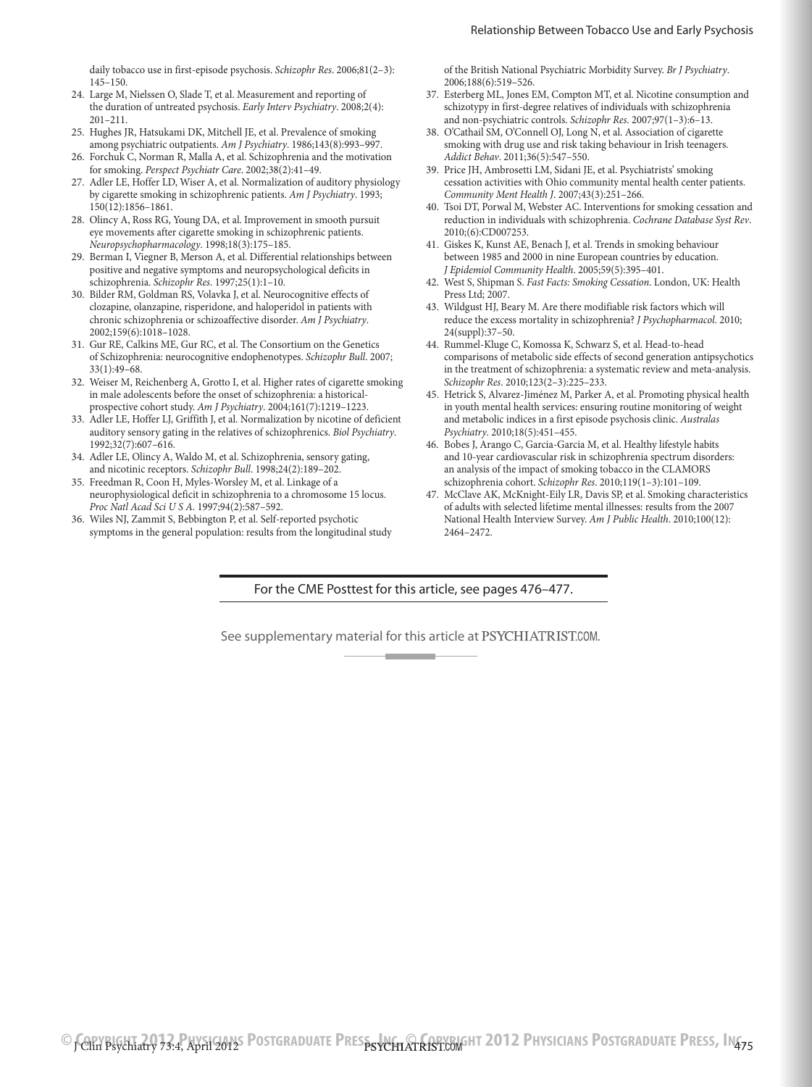daily tobacco use in first-episode psychosis. *Schizophr Res*. 2006;81(2–3):  $145 - 150$ 

- 24. Large M, Nielssen O, Slade T, et al. Measurement and reporting of the duration of untreated psychosis. *Early Interv Psychiatry*. 2008;2(4):  $201 - 211$ .
- 25. Hughes JR, Hatsukami DK, Mitchell JE, et al. Prevalence of smoking among psychiatric outpatients. Am J Psychiatry. 1986;143(8):993-997.
- 26. Forchuk C, Norman R, Malla A, et al. Schizophrenia and the motivation for smoking. *Perspect Psychiatr Care*. 2002;38(2):41-49.
- 27. Adler LE, Hoffer LD, Wiser A, et al. Normalization of auditory physiology by cigarette smoking in schizophrenic patients. *Am J Psychiatry*. 1993;  $150(12):1856-1861.$
- 28. Olincy A, Ross RG, Young DA, et al. Improvement in smooth pursuit eye movements after cigarette smoking in schizophrenic patients. *Neuropsychopharmacology*. 1998;18(3):175-185.
- 29. Berman I, Viegner B, Merson A, et al. Differential relationships between positive and negative symptoms and neuropsychological deficits in schizophrenia. *Schizophr Res*. 1997;25(1):1-10.
- 30. Bilder RM, Goldman RS, Volavka J, et al. Neurocognitive effects of clozapine, olanzapine, risperidone, and haloperidol in patients with chronic schizophrenia or schizoaffective disorder. *Am J Psychiatry*. 2002;159(6):1018-1028.
- 31. Gur RE, Calkins ME, Gur RC, et al. The Consortium on the Genetics of Schizophrenia: neurocognitive endophenotypes. *Schizophr Bull*. 2007;  $33(1):49-68$
- 32. Weiser M, Reichenberg A, Grotto I, et al. Higher rates of cigarette smoking in male adolescents before the onset of schizophrenia: a historicalprospective cohort study. *Am J Psychiatry*. 2004;161(7):1219-1223.
- 33. Adler LE, Hoffer LJ, Griffith J, et al. Normalization by nicotine of deficient auditory sensory gating in the relatives of schizophrenics. *Biol Psychiatry*. 1992;32(7):607-616.
- 34. Adler LE, Olincy A, Waldo M, et al. Schizophrenia, sensory gating, and nicotinic receptors. *Schizophr Bull*. 1998;24(2):189-202.
- 35. Freedman R, Coon H, Myles-Worsley M, et al. Linkage of a neurophysiological deficit in schizophrenia to a chromosome 15 locus. Proc Natl Acad Sci U S A. 1997;94(2):587-592.
- 36. Wiles NJ, Zammit S, Bebbington P, et al. Self-reported psychotic symptoms in the general population: results from the longitudinal study

of the British National Psychiatric Morbidity Survey. *Br J Psychiatry*. 2006;188(6):519-526.

- 37. Esterberg ML, Jones EM, Compton MT, et al. Nicotine consumption and schizotypy in first-degree relatives of individuals with schizophrenia and non-psychiatric controls. *Schizophr Res.* 2007;97(1-3):6-13.
- 38. O'Cathail SM, O'Connell OJ, Long N, et al. Association of cigarette smoking with drug use and risk taking behaviour in Irish teenagers. *Addict Behav.* 2011;36(5):547-550.
- 39. Price JH, Ambrosetti LM, Sidani JE, et al. Psychiatrists' smoking cessation activities with Ohio community mental health center patients. *Community Ment Health J.* 2007;43(3):251-266.
- 40. Tsoi DT, Porwal M, Webster AC. Interventions for smoking cessation and reduction in individuals with schizophrenia. *Cochrane Database Syst Rev*. 2010;(6):CD007253.
- 41. Giskes K, Kunst AE, Benach J, et al. Trends in smoking behaviour between 1985 and 2000 in nine European countries by education. *J Epidemiol Community Health.* 2005;59(5):395-401.
- 42. West S, Shipman S. *Fast Facts: Smoking Cessation*. London, UK: Health Press Ltd; 2007.
- 43. Wildgust HJ, Beary M. Are there modifiable risk factors which will reduce the excess mortality in schizophrenia? *J Psychopharmacol*. 2010; 24(suppl):37-50.
- 44. Rummel-Kluge C, Komossa K, Schwarz S, et al. Head-to-head comparisons of metabolic side effects of second generation antipsychotics in the treatment of schizophrenia: a systematic review and meta-analysis. *Schizophr Res.* 2010;123(2-3):225-233.
- 45. Hetrick S, Alvarez-Jiménez M, Parker A, et al. Promoting physical health in youth mental health services: ensuring routine monitoring of weight and metabolic indices in a first episode psychosis clinic. *Australas Psychiatry*. 2010;18(5):451-455.
- 46. Bobes J, Arango C, Garcia-Garcia M, et al. Healthy lifestyle habits and 10-year cardiovascular risk in schizophrenia spectrum disorders: an analysis of the impact of smoking tobacco in the CLAMORS schizophrenia cohort. *Schizophr Res.* 2010;119(1-3):101-109.
- 47. McClave AK, McKnight-Eily LR, Davis SP, et al. Smoking characteristics of adults with selected lifetime mental illnesses: results from the 2007 National Health Interview Survey. *Am J Public Health*. 2010;100(12): 2464–2472.

For the CME Posttest for this article, see pages 476–477.

See supplementary material for this article at PSYCHIATRIST.COM.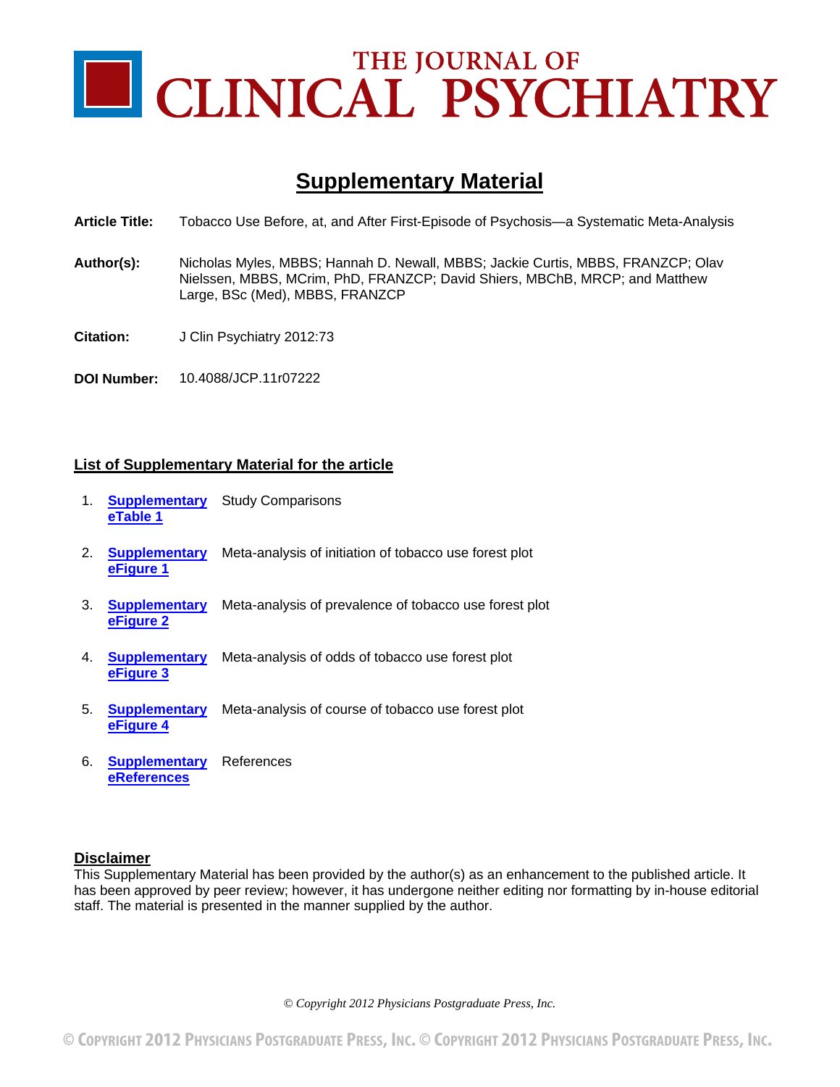

# **Supplementary Material**

- **Article Title:** Tobacco Use Before, at, and After First-Episode of Psychosis—a Systematic Meta-Analysis
- **Author(s):** Nicholas Myles, MBBS; Hannah D. Newall, MBBS; Jackie Curtis, MBBS, FRANZCP; Olav Nielssen, MBBS, MCrim, PhD, FRANZCP; David Shiers, MBChB, MRCP; and Matthew Large, BSc (Med), MBBS, FRANZCP
- **Citation:** J Clin Psychiatry 2012:73
- **DOI Number:** 10.4088/JCP.11r07222

### **List of Supplementary Material for the article**

- 1. **[Supplementary](#page-9-0)  eTable 1** Study Comparisons
- 2. **[Supplementary](#page-16-0)**  Meta-analysis of initiation of tobacco use forest plot **eFigure 1**
- 3. **[Supplementary](#page-17-0)**  Meta-analysis of prevalence of tobacco use forest plot **eFigure 2**
- 4. **[Supplementary](#page-18-0)**  Meta-analysis of odds of tobacco use forest plot **eFigure 3**
- 5. **[Supplementary](#page-19-0)**  Meta-analysis of course of tobacco use forest plot **eFigure 4**
- 6. **[Supplementary](#page-20-0)**  References **eReferences**

### **Disclaimer**

This Supplementary Material has been provided by the author(s) as an enhancement to the published article. It has been approved by peer review; however, it has undergone neither editing nor formatting by in-house editorial staff. The material is presented in the manner supplied by the author.

*© Copyright 2012 Physicians Postgraduate Press, Inc.*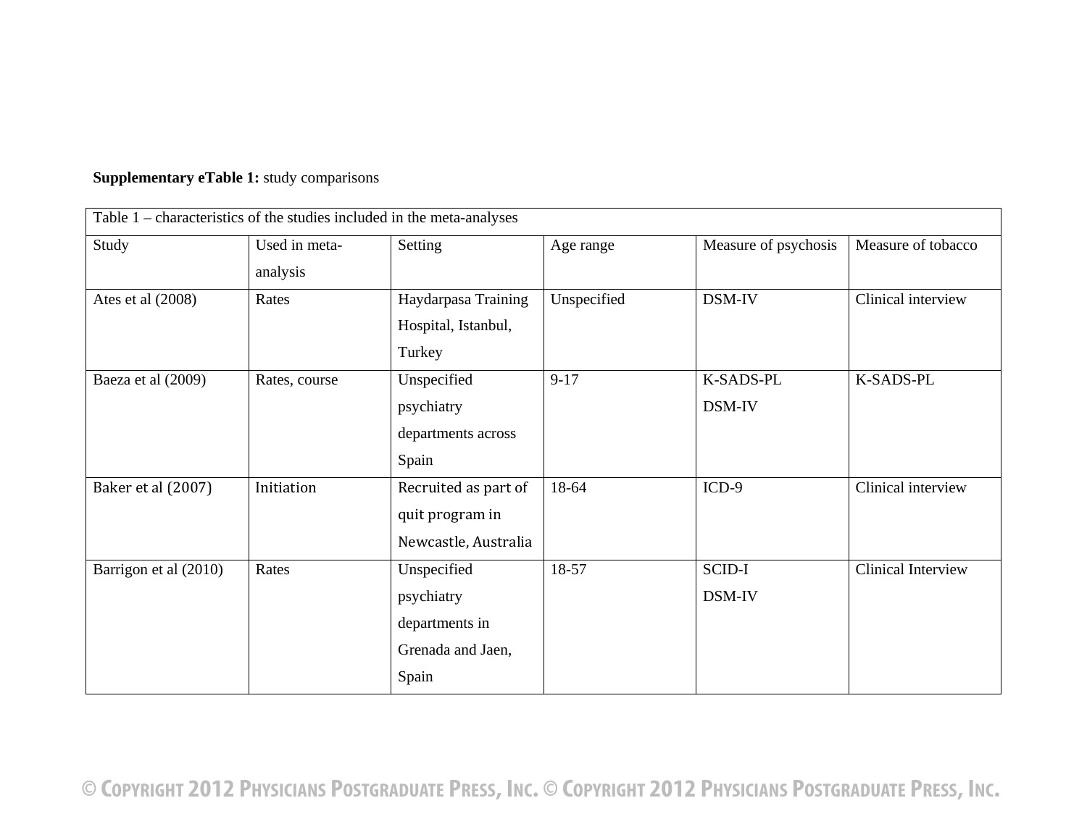| Table 1 – characteristics of the studies included in the meta-analyses |                           |                                                                           |             |                      |                    |
|------------------------------------------------------------------------|---------------------------|---------------------------------------------------------------------------|-------------|----------------------|--------------------|
| Study                                                                  | Used in meta-<br>analysis | Setting                                                                   | Age range   | Measure of psychosis | Measure of tobacco |
| Ates et al (2008)                                                      | Rates                     | Haydarpasa Training<br>Hospital, Istanbul,<br>Turkey                      | Unspecified | DSM-IV               | Clinical interview |
| Baeza et al (2009)                                                     | Rates, course             | Unspecified<br>psychiatry<br>departments across<br>Spain                  | $9 - 17$    | K-SADS-PL<br>DSM-IV  | K-SADS-PL          |
| Baker et al (2007)                                                     | Initiation                | Recruited as part of<br>quit program in<br>Newcastle, Australia           | 18-64       | $ICD-9$              | Clinical interview |
| Barrigon et al (2010)                                                  | Rates                     | Unspecified<br>psychiatry<br>departments in<br>Grenada and Jaen,<br>Spain | 18-57       | SCID-I<br>DSM-IV     | Clinical Interview |

# <span id="page-9-0"></span>**Supplementary eTable 1:** study comparisons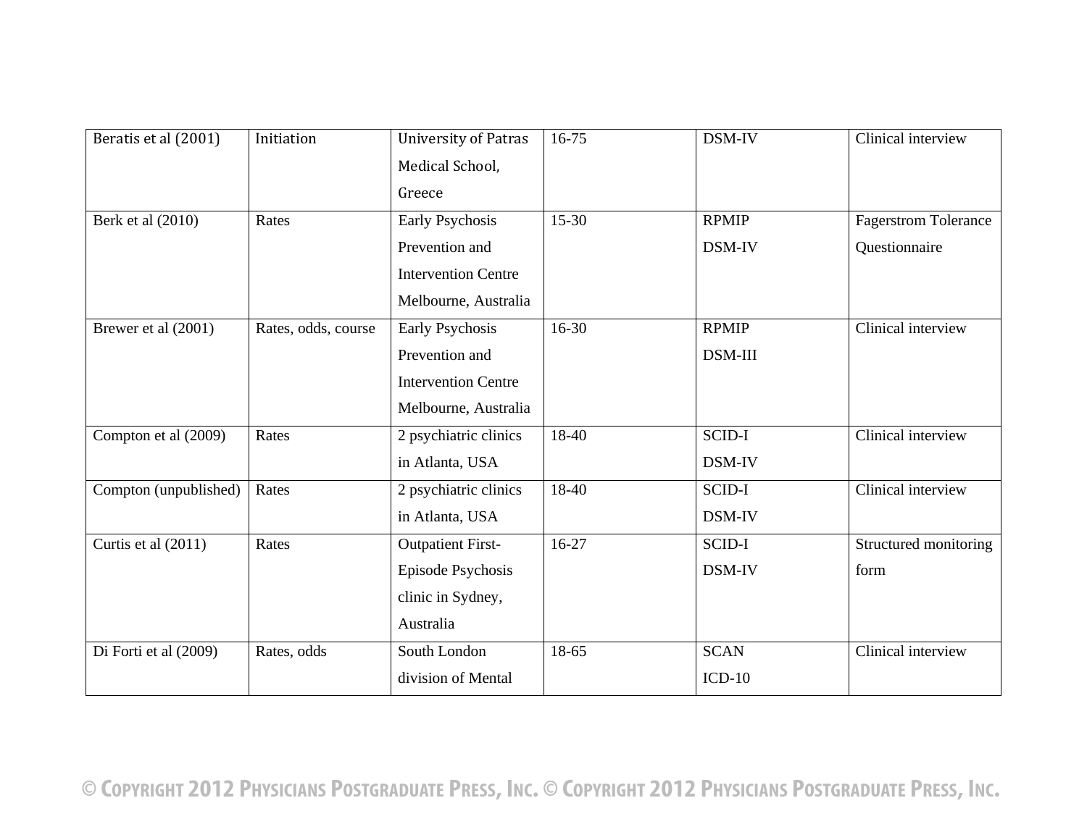| Beratis et al (2001)  | Initiation          | <b>University of Patras</b> | 16-75     | DSM-IV        | Clinical interview          |
|-----------------------|---------------------|-----------------------------|-----------|---------------|-----------------------------|
|                       |                     | Medical School,             |           |               |                             |
|                       |                     | Greece                      |           |               |                             |
| Berk et al (2010)     | Rates               | Early Psychosis             | $15 - 30$ | <b>RPMIP</b>  | <b>Fagerstrom Tolerance</b> |
|                       |                     | Prevention and              |           | DSM-IV        | Questionnaire               |
|                       |                     | <b>Intervention Centre</b>  |           |               |                             |
|                       |                     | Melbourne, Australia        |           |               |                             |
| Brewer et al (2001)   | Rates, odds, course | Early Psychosis             | $16 - 30$ | <b>RPMIP</b>  | Clinical interview          |
|                       |                     | Prevention and              |           | DSM-III       |                             |
|                       |                     | <b>Intervention Centre</b>  |           |               |                             |
|                       |                     | Melbourne, Australia        |           |               |                             |
| Compton et al (2009)  | Rates               | 2 psychiatric clinics       | 18-40     | <b>SCID-I</b> | Clinical interview          |
|                       |                     | in Atlanta, USA             |           | DSM-IV        |                             |
| Compton (unpublished) | Rates               | 2 psychiatric clinics       | 18-40     | SCID-I        | Clinical interview          |
|                       |                     | in Atlanta, USA             |           | DSM-IV        |                             |
| Curtis et al (2011)   | Rates               | <b>Outpatient First-</b>    | $16-27$   | <b>SCID-I</b> | Structured monitoring       |
|                       |                     | Episode Psychosis           |           | DSM-IV        | form                        |
|                       |                     | clinic in Sydney,           |           |               |                             |
|                       |                     | Australia                   |           |               |                             |
| Di Forti et al (2009) | Rates, odds         | South London                | 18-65     | <b>SCAN</b>   | Clinical interview          |
|                       |                     | division of Mental          |           | $ICD-10$      |                             |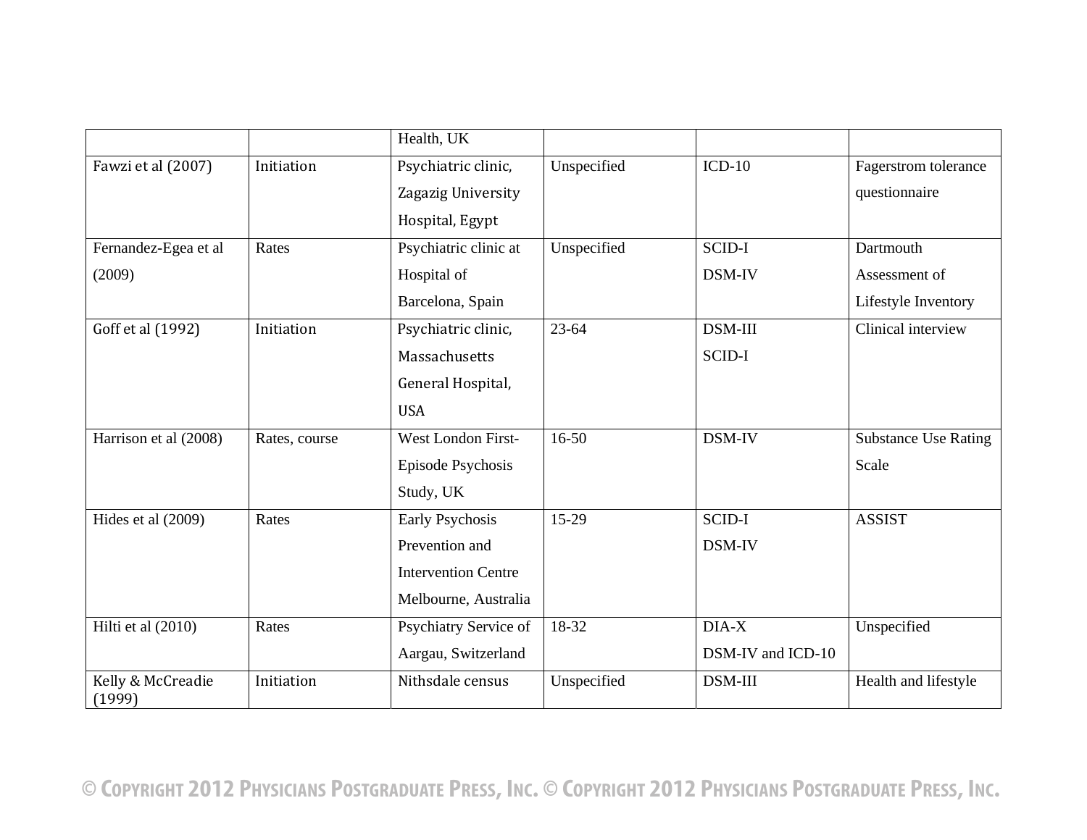|                             |               | Health, UK                 |             |                   |                             |
|-----------------------------|---------------|----------------------------|-------------|-------------------|-----------------------------|
| Fawzi et al (2007)          | Initiation    | Psychiatric clinic,        | Unspecified | $ICD-10$          | Fagerstrom tolerance        |
|                             |               | Zagazig University         |             |                   | questionnaire               |
|                             |               | Hospital, Egypt            |             |                   |                             |
| Fernandez-Egea et al        | Rates         | Psychiatric clinic at      | Unspecified | <b>SCID-I</b>     | Dartmouth                   |
| (2009)                      |               | Hospital of                |             | DSM-IV            | Assessment of               |
|                             |               | Barcelona, Spain           |             |                   | Lifestyle Inventory         |
| Goff et al (1992)           | Initiation    | Psychiatric clinic,        | $23 - 64$   | DSM-III           | Clinical interview          |
|                             |               | Massachusetts              |             | <b>SCID-I</b>     |                             |
|                             |               | General Hospital,          |             |                   |                             |
|                             |               | <b>USA</b>                 |             |                   |                             |
| Harrison et al (2008)       | Rates, course | West London First-         | $16 - 50$   | DSM-IV            | <b>Substance Use Rating</b> |
|                             |               | <b>Episode Psychosis</b>   |             |                   | Scale                       |
|                             |               | Study, UK                  |             |                   |                             |
| Hides et al (2009)          | Rates         | Early Psychosis            | 15-29       | <b>SCID-I</b>     | <b>ASSIST</b>               |
|                             |               | Prevention and             |             | DSM-IV            |                             |
|                             |               | <b>Intervention Centre</b> |             |                   |                             |
|                             |               | Melbourne, Australia       |             |                   |                             |
| Hilti et al (2010)          | Rates         | Psychiatry Service of      | $18-32$     | DIA-X             | Unspecified                 |
|                             |               | Aargau, Switzerland        |             | DSM-IV and ICD-10 |                             |
| Kelly & McCreadie<br>(1999) | Initiation    | Nithsdale census           | Unspecified | DSM-III           | Health and lifestyle        |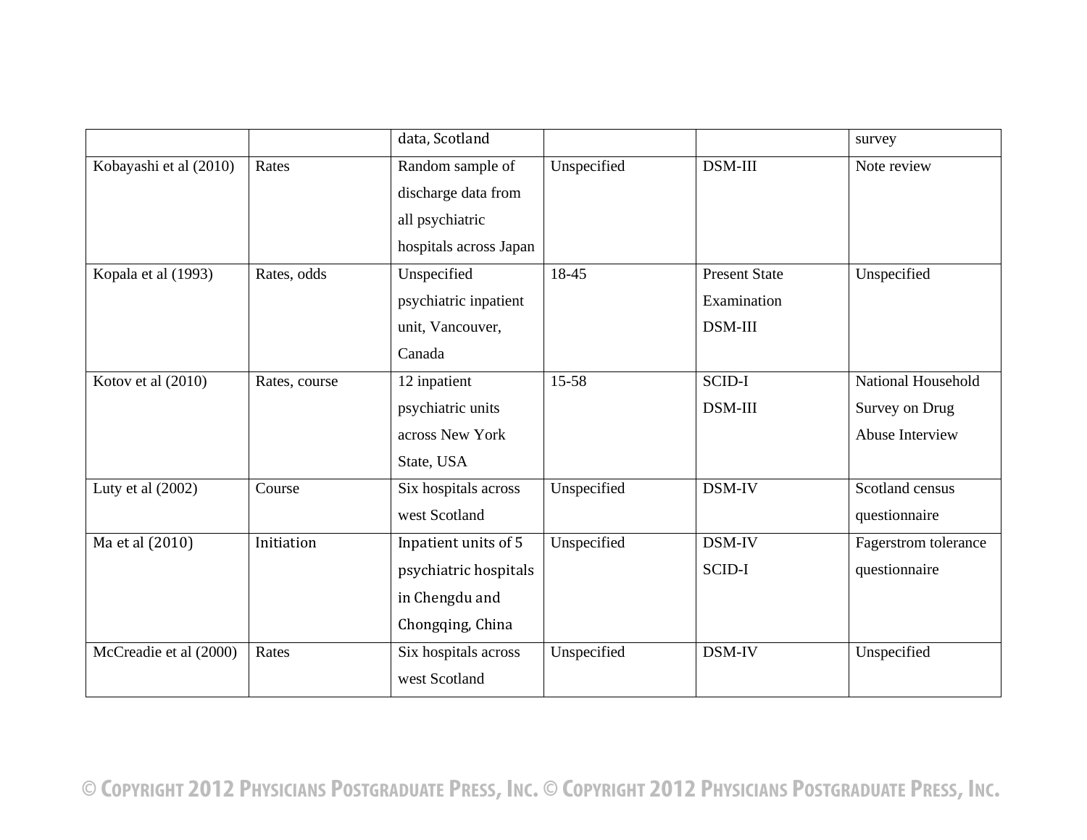|                        |               | data, Scotland         |             |                      | survey               |
|------------------------|---------------|------------------------|-------------|----------------------|----------------------|
| Kobayashi et al (2010) | Rates         | Random sample of       | Unspecified | DSM-III              | Note review          |
|                        |               | discharge data from    |             |                      |                      |
|                        |               | all psychiatric        |             |                      |                      |
|                        |               | hospitals across Japan |             |                      |                      |
| Kopala et al (1993)    | Rates, odds   | Unspecified            | 18-45       | <b>Present State</b> | Unspecified          |
|                        |               | psychiatric inpatient  |             | Examination          |                      |
|                        |               | unit, Vancouver,       |             | <b>DSM-III</b>       |                      |
|                        |               | Canada                 |             |                      |                      |
| Kotov et al (2010)     | Rates, course | 12 inpatient           | 15-58       | SCID-I               | National Household   |
|                        |               | psychiatric units      |             | DSM-III              | Survey on Drug       |
|                        |               | across New York        |             |                      | Abuse Interview      |
|                        |               | State, USA             |             |                      |                      |
| Luty et al $(2002)$    | Course        | Six hospitals across   | Unspecified | DSM-IV               | Scotland census      |
|                        |               | west Scotland          |             |                      | questionnaire        |
| Ma et al (2010)        | Initiation    | Inpatient units of 5   | Unspecified | DSM-IV               | Fagerstrom tolerance |
|                        |               | psychiatric hospitals  |             | <b>SCID-I</b>        | questionnaire        |
|                        |               | in Chengdu and         |             |                      |                      |
|                        |               | Chongqing, China       |             |                      |                      |
| McCreadie et al (2000) | Rates         | Six hospitals across   | Unspecified | DSM-IV               | Unspecified          |
|                        |               | west Scotland          |             |                      |                      |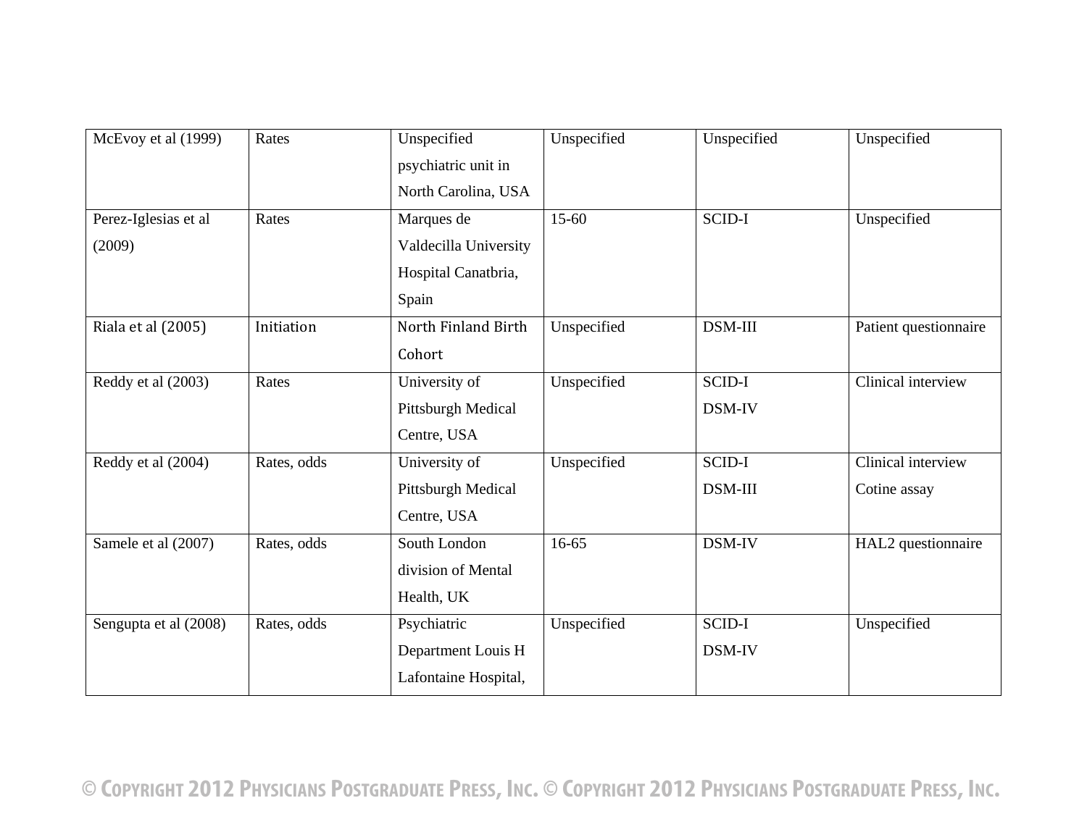| McEvoy et al (1999)            | Rates       | Unspecified<br>psychiatric unit in<br>North Carolina, USA           | Unspecified | Unspecified       | Unspecified                        |
|--------------------------------|-------------|---------------------------------------------------------------------|-------------|-------------------|------------------------------------|
| Perez-Iglesias et al<br>(2009) | Rates       | Marques de<br>Valdecilla University<br>Hospital Canatbria,<br>Spain | $15-60$     | SCID-I            | Unspecified                        |
| Riala et al (2005)             | Initiation  | North Finland Birth<br>Cohort                                       | Unspecified | DSM-III           | Patient questionnaire              |
| Reddy et al (2003)             | Rates       | University of<br>Pittsburgh Medical<br>Centre, USA                  | Unspecified | SCID-I<br>DSM-IV  | Clinical interview                 |
| Reddy et al (2004)             | Rates, odds | University of<br>Pittsburgh Medical<br>Centre, USA                  | Unspecified | SCID-I<br>DSM-III | Clinical interview<br>Cotine assay |
| Samele et al (2007)            | Rates, odds | South London<br>division of Mental<br>Health, UK                    | $16 - 65$   | DSM-IV            | HAL2 questionnaire                 |
| Sengupta et al (2008)          | Rates, odds | Psychiatric<br>Department Louis H<br>Lafontaine Hospital,           | Unspecified | SCID-I<br>DSM-IV  | Unspecified                        |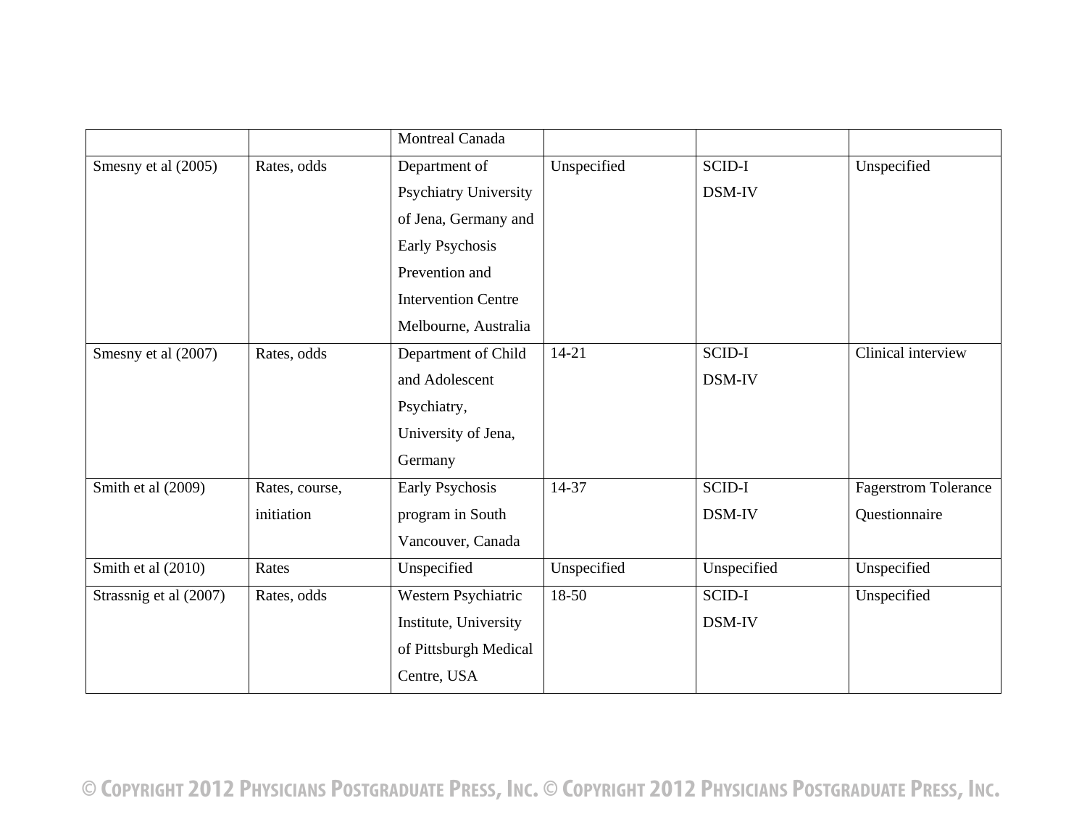|                        |                | <b>Montreal Canada</b>     |             |             |                             |
|------------------------|----------------|----------------------------|-------------|-------------|-----------------------------|
| Smesny et al (2005)    | Rates, odds    | Department of              | Unspecified | SCID-I      | Unspecified                 |
|                        |                | Psychiatry University      |             | DSM-IV      |                             |
|                        |                | of Jena, Germany and       |             |             |                             |
|                        |                | Early Psychosis            |             |             |                             |
|                        |                | Prevention and             |             |             |                             |
|                        |                | <b>Intervention Centre</b> |             |             |                             |
|                        |                | Melbourne, Australia       |             |             |                             |
| Smesny et al (2007)    | Rates, odds    | Department of Child        | $14 - 21$   | SCID-I      | Clinical interview          |
|                        |                | and Adolescent             |             | DSM-IV      |                             |
|                        |                | Psychiatry,                |             |             |                             |
|                        |                | University of Jena,        |             |             |                             |
|                        |                | Germany                    |             |             |                             |
| Smith et al (2009)     | Rates, course, | Early Psychosis            | 14-37       | SCID-I      | <b>Fagerstrom Tolerance</b> |
|                        | initiation     | program in South           |             | DSM-IV      | Questionnaire               |
|                        |                | Vancouver, Canada          |             |             |                             |
| Smith et al (2010)     | Rates          | Unspecified                | Unspecified | Unspecified | Unspecified                 |
| Strassnig et al (2007) | Rates, odds    | Western Psychiatric        | $18-50$     | SCID-I      | Unspecified                 |
|                        |                | Institute, University      |             | DSM-IV      |                             |
|                        |                | of Pittsburgh Medical      |             |             |                             |
|                        |                | Centre, USA                |             |             |                             |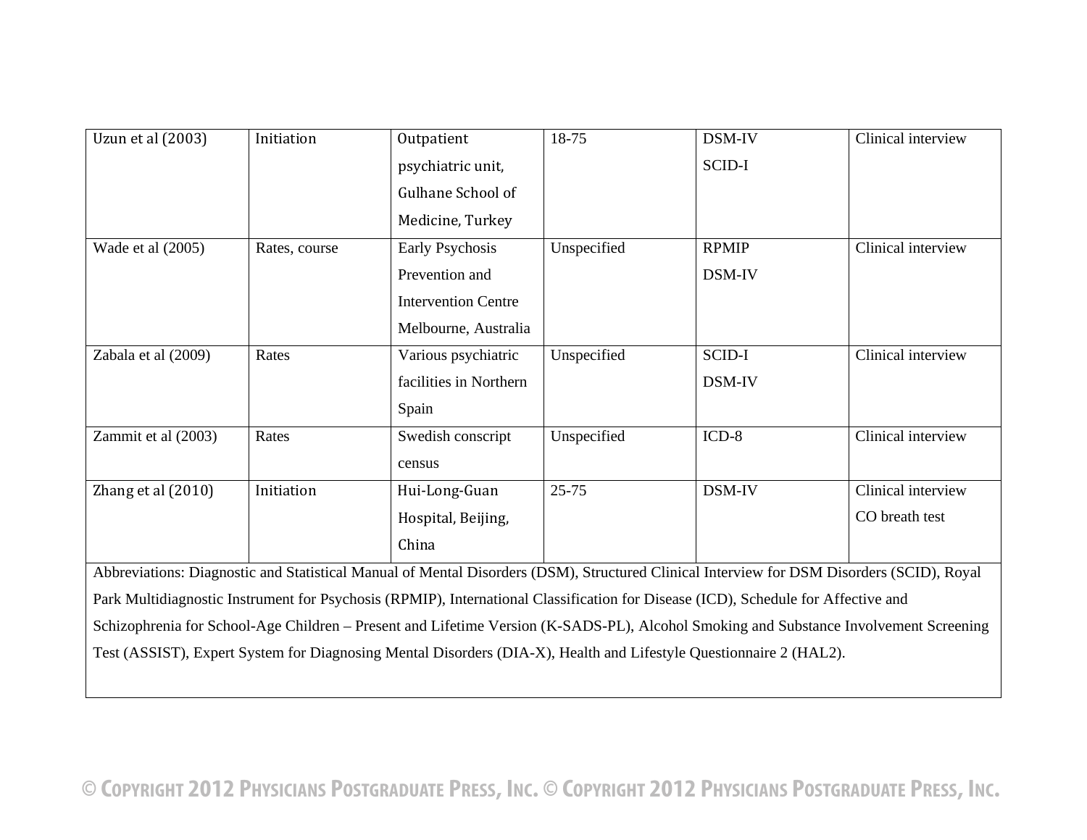| Uzun et al (2003)   | Initiation    | Outpatient                                                                                                                                | 18-75       | DSM-IV       | Clinical interview |
|---------------------|---------------|-------------------------------------------------------------------------------------------------------------------------------------------|-------------|--------------|--------------------|
|                     |               | psychiatric unit,                                                                                                                         |             | SCID-I       |                    |
|                     |               | Gulhane School of                                                                                                                         |             |              |                    |
|                     |               | Medicine, Turkey                                                                                                                          |             |              |                    |
| Wade et al (2005)   | Rates, course | Early Psychosis                                                                                                                           | Unspecified | <b>RPMIP</b> | Clinical interview |
|                     |               | Prevention and                                                                                                                            |             | DSM-IV       |                    |
|                     |               | <b>Intervention Centre</b>                                                                                                                |             |              |                    |
|                     |               | Melbourne, Australia                                                                                                                      |             |              |                    |
| Zabala et al (2009) | Rates         | Various psychiatric                                                                                                                       | Unspecified | SCID-I       | Clinical interview |
|                     |               | facilities in Northern                                                                                                                    |             | DSM-IV       |                    |
|                     |               | Spain                                                                                                                                     |             |              |                    |
| Zammit et al (2003) | Rates         | Swedish conscript                                                                                                                         | Unspecified | $ICD-8$      | Clinical interview |
|                     |               | census                                                                                                                                    |             |              |                    |
| Zhang et al (2010)  | Initiation    | Hui-Long-Guan                                                                                                                             | $25 - 75$   | DSM-IV       | Clinical interview |
|                     |               | Hospital, Beijing,                                                                                                                        |             |              | CO breath test     |
|                     |               | China                                                                                                                                     |             |              |                    |
|                     |               | Abbreviations: Diagnostic and Statistical Manual of Mental Disorders (DSM), Structured Clinical Interview for DSM Disorders (SCID), Royal |             |              |                    |
|                     |               | Park Multidiagnostic Instrument for Psychosis (RPMIP), International Classification for Disease (ICD), Schedule for Affective and         |             |              |                    |
|                     |               | Schizophrenia for School-Age Children - Present and Lifetime Version (K-SADS-PL), Alcohol Smoking and Substance Involvement Screening     |             |              |                    |
|                     |               | Test (ASSIST), Expert System for Diagnosing Mental Disorders (DIA-X), Health and Lifestyle Questionnaire 2 (HAL2).                        |             |              |                    |
|                     |               |                                                                                                                                           |             |              |                    |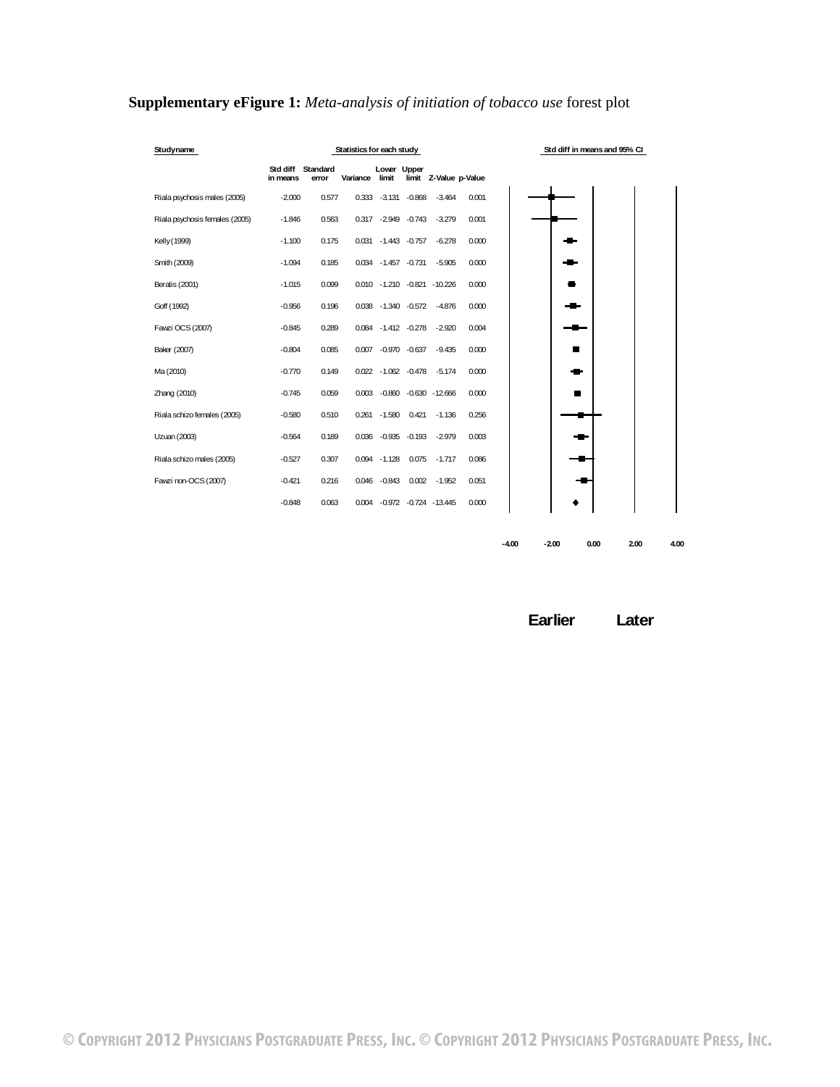| Studyname                      |                               |       | Statistics for each study |                       |       |                             |       |         |         | Std diff in means and 95% CI |      |      |
|--------------------------------|-------------------------------|-------|---------------------------|-----------------------|-------|-----------------------------|-------|---------|---------|------------------------------|------|------|
|                                | Std diff Standard<br>in means | error | Variance                  | Lower Upper<br>limit  |       | limit Z-Value p-Value       |       |         |         |                              |      |      |
| Riala psychosis males (2005)   | $-2.000$                      | 0.577 |                           | 0.333 - 3.131 - 0.868 |       | $-3.464$                    | 0.001 |         |         |                              |      |      |
| Riala psychosis females (2005) | $-1.846$                      | 0.563 |                           | 0.317 -2.949 -0.743   |       | $-3.279$                    | 0.001 |         |         |                              |      |      |
| Kelly (1999)                   | $-1.100$                      | 0.175 |                           | 0.031 - 1.443 - 0.757 |       | $-6.278$                    | 0.000 |         |         |                              |      |      |
| Smith (2009)                   | $-1.094$                      | 0.185 |                           | 0.034 -1.457 -0.731   |       | $-5.905$                    | 0.000 |         |         |                              |      |      |
| Beratis (2001)                 | $-1.015$                      | 0.099 |                           |                       |       | 0.010 -1.210 -0.821 -10.226 | 0.000 |         |         |                              |      |      |
| Goff (1992)                    | $-0.956$                      | 0.196 |                           |                       |       | 0.038 -1.340 -0.572 -4.876  | 0.000 |         |         |                              |      |      |
| Fawzi OCS (2007)               | $-0.845$                      | 0.289 |                           |                       |       | 0.084 -1.412 -0.278 -2.920  | 0.004 |         |         |                              |      |      |
| Baker (2007)                   | $-0.804$                      | 0.085 |                           |                       |       | 0.007 -0.970 -0.637 -9.435  | 0.000 |         |         |                              |      |      |
| Ma (2010)                      | $-0.770$                      | 0.149 |                           |                       |       | 0.022 -1.062 -0.478 -5.174  | 0.000 |         |         |                              |      |      |
| Zhang (2010)                   | $-0.745$                      | 0.059 |                           |                       |       | 0.003 -0.860 -0.630 -12.666 | 0.000 |         |         |                              |      |      |
| Riala schizo females (2005)    | $-0.580$                      | 0.510 |                           | 0.261 -1.580 0.421    |       | $-1.136$                    | 0.256 |         |         |                              |      |      |
| Uzuan (2003)                   | $-0.564$                      | 0.189 |                           |                       |       | 0.036 -0.935 -0.193 -2.979  | 0.003 |         |         |                              |      |      |
| Riala schizo males (2005)      | $-0.527$                      | 0.307 |                           | $0.094 - 1.128$       | 0.075 | $-1.717$                    | 0.086 |         |         |                              |      |      |
| Fawzi non-OCS (2007)           | $-0.421$                      | 0.216 |                           | 0.046 -0.843          |       | $0.002 - 1.952$             | 0.051 |         |         |                              |      |      |
|                                | $-0.848$                      | 0.063 |                           |                       |       | 0.004 -0.972 -0.724 -13.445 | 0.000 |         |         |                              |      |      |
|                                |                               |       |                           |                       |       |                             |       |         |         |                              |      |      |
|                                |                               |       |                           |                       |       |                             |       | $-4.00$ | $-2.00$ | 0.00                         | 2.00 | 4.00 |

## <span id="page-16-0"></span>**Supplementary eFigure 1:** *Meta-analysis of initiation of tobacco use* forest plot

**Earlier Later**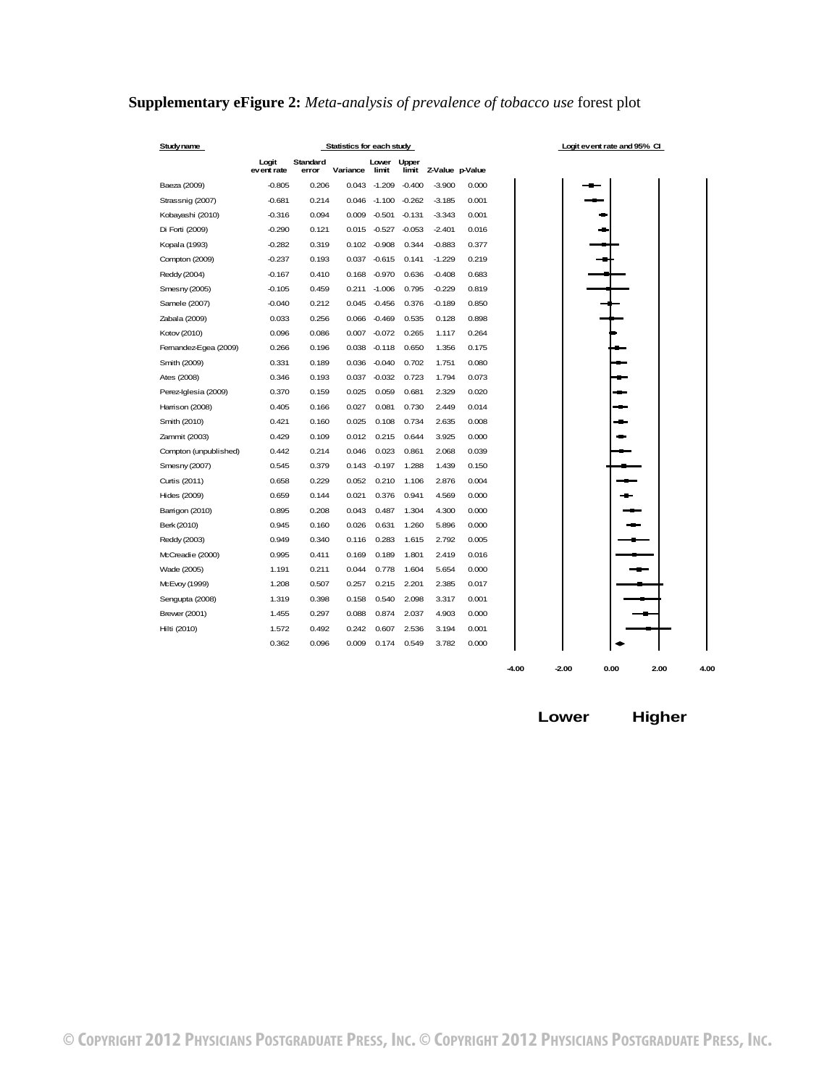## <span id="page-17-0"></span>**Supplementary eFigure 2:** *Meta-analysis of prevalence of tobacco use* forest plot

| Study name            | Statistics for each study |                   |          |                 |                       |                 |       |  |
|-----------------------|---------------------------|-------------------|----------|-----------------|-----------------------|-----------------|-------|--|
|                       | Logit<br>event rate       | Standard<br>error | Variance | Lower<br>limit  | <b>Upper</b><br>limit | Z-Value p-Value |       |  |
| Baeza (2009)          | $-0.805$                  | 0.206             | 0.043    | $-1.209$        | $-0.400$              | $-3.900$        | 0.000 |  |
| Strassnig (2007)      | $-0.681$                  | 0.214             | 0.046    | $-1.100$        | $-0.262$              | $-3.185$        | 0.001 |  |
| Kobayashi (2010)      | $-0.316$                  | 0.094             | 0.009    | $-0.501$        | $-0.131$              | $-3.343$        | 0.001 |  |
| Di Forti (2009)       | $-0.290$                  | 0.121             |          | $0.015 - 0.527$ | $-0.053$              | $-2.401$        | 0.016 |  |
| Kopala (1993)         | $-0.282$                  | 0.319             |          | $0.102 - 0.908$ | 0.344                 | $-0.883$        | 0.377 |  |
| Compton (2009)        | $-0.237$                  | 0.193             | 0.037    | $-0.615$        | 0.141                 | $-1.229$        | 0.219 |  |
| Reddy (2004)          | $-0.167$                  | 0.410             | 0.168    | $-0.970$        | 0.636                 | $-0.408$        | 0.683 |  |
| Smesny (2005)         | $-0.105$                  | 0.459             | 0.211    | $-1.006$        | 0.795                 | $-0.229$        | 0.819 |  |
| Samele (2007)         | $-0.040$                  | 0.212             | 0.045    | $-0.456$        | 0.376                 | $-0.189$        | 0.850 |  |
| Zabala (2009)         | 0.033                     | 0.256             | 0.066    | $-0.469$        | 0.535                 | 0.128           | 0.898 |  |
| Kotov (2010)          | 0.096                     | 0.086             | 0.007    | $-0.072$        | 0.265                 | 1.117           | 0.264 |  |
| Femandez-Egea (2009)  | 0.266                     | 0.196             | 0.038    | $-0.118$        | 0.650                 | 1.356           | 0.175 |  |
| Smith (2009)          | 0.331                     | 0.189             | 0.036    | $-0.040$        | 0.702                 | 1.751           | 0.080 |  |
| Ates (2008)           | 0.346                     | 0.193             | 0.037    | $-0.032$        | 0.723                 | 1.794           | 0.073 |  |
| Perez-Iglesia (2009)  | 0.370                     | 0.159             | 0.025    | 0.059           | 0.681                 | 2.329           | 0.020 |  |
| Harrison (2008)       | 0.405                     | 0.166             | 0.027    | 0.081           | 0.730                 | 2.449           | 0.014 |  |
| Smith (2010)          | 0.421                     | 0.160             | 0.025    | 0.108           | 0.734                 | 2.635           | 0.008 |  |
| Zammit (2003)         | 0.429                     | 0.109             | 0.012    | 0.215           | 0.644                 | 3.925           | 0.000 |  |
| Compton (unpublished) | 0.442                     | 0.214             | 0.046    | 0.023           | 0.861                 | 2.068           | 0.039 |  |
| Smesny (2007)         | 0.545                     | 0.379             | 0.143    | $-0.197$        | 1.288                 | 1.439           | 0.150 |  |
| Curtis (2011)         | 0.658                     | 0.229             | 0.052    | 0.210           | 1.106                 | 2.876           | 0.004 |  |
| Hides (2009)          | 0.659                     | 0.144             | 0.021    | 0.376           | 0.941                 | 4.569           | 0.000 |  |
| Barrigon (2010)       | 0.895                     | 0.208             | 0.043    | 0.487           | 1.304                 | 4.300           | 0.000 |  |
| Berk (2010)           | 0.945                     | 0.160             | 0.026    | 0.631           | 1.260                 | 5.896           | 0.000 |  |
| Reddy (2003)          | 0.949                     | 0.340             | 0.116    | 0.283           | 1.615                 | 2.792           | 0.005 |  |
| McCreadie (2000)      | 0.995                     | 0.411             | 0.169    | 0.189           | 1.801                 | 2.419           | 0.016 |  |
| Wade (2005)           | 1.191                     | 0.211             | 0.044    | 0.778           | 1.604                 | 5.654           | 0.000 |  |
| McEvoy (1999)         | 1.208                     | 0.507             | 0.257    | 0.215           | 2.201                 | 2.385           | 0.017 |  |
| Sengupta (2008)       | 1.319                     | 0.398             | 0.158    | 0.540           | 2.098                 | 3.317           | 0.001 |  |
| <b>Brewer (2001)</b>  | 1.455                     | 0.297             | 0.088    | 0.874           | 2.037                 | 4.903           | 0.000 |  |
| Hilti (2010)          | 1.572                     | 0.492             | 0.242    | 0.607           | 2.536                 | 3.194           | 0.001 |  |
|                       | 0.362                     | 0.096             | 0.009    | 0.174           | 0.549                 | 3.782           | 0.000 |  |
|                       |                           |                   |          |                 |                       |                 |       |  |

**Lower Higher**

**-4.00 -2.00 0.00 2.00 4.00**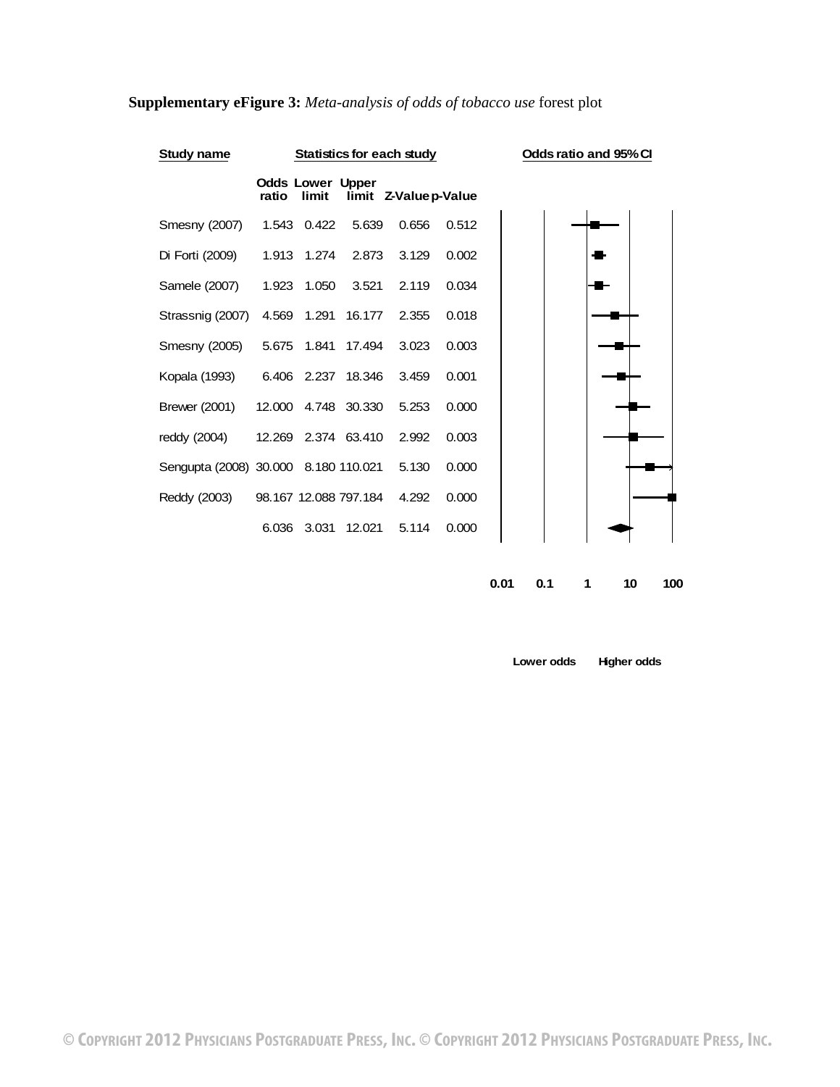| Study name                           |                                  |       | <b>Statistics for each study</b> |                       |       | Odds ratio and 95% CI |  |
|--------------------------------------|----------------------------------|-------|----------------------------------|-----------------------|-------|-----------------------|--|
|                                      | <b>Odds Lower Upper</b><br>ratio | limit |                                  | limit Z-Value p-Value |       |                       |  |
| Smesny (2007)                        | 1.543 0.422                      |       | 5.639                            | 0.656                 | 0.512 |                       |  |
| Di Forti (2009)                      | 1.913 1.274                      |       | 2.873                            | 3.129                 | 0.002 |                       |  |
| Samele (2007)                        | 1.923 1.050                      |       | 3.521                            | 2.119                 | 0.034 |                       |  |
| Strassnig (2007)                     | 4.569 1.291                      |       | 16.177                           | 2.355                 | 0.018 |                       |  |
| Smesny (2005)                        | 5.675  1.841  17.494             |       |                                  | 3.023                 | 0.003 |                       |  |
| Kopala (1993)                        | 6.406 2.237 18.346               |       |                                  | 3.459                 | 0.001 |                       |  |
| <b>Brewer (2001)</b>                 | 12,000 4.748 30.330              |       |                                  | 5.253                 | 0.000 |                       |  |
| reddy (2004)                         | 12.269 2.374 63.410              |       |                                  | 2.992                 | 0.003 |                       |  |
| Sengupta (2008) 30.000 8.180 110.021 |                                  |       |                                  | 5.130                 | 0.000 |                       |  |
| Reddy (2003)                         | 98.167 12.088 797.184            |       |                                  | 4.292                 | 0.000 |                       |  |
|                                      | 6.036                            |       | 3.031 12.021                     | 5.114                 | 0.000 |                       |  |
|                                      |                                  |       |                                  |                       |       |                       |  |

## <span id="page-18-0"></span>**Supplementary eFigure 3:** *Meta-analysis of odds of tobacco use* forest plot

**0.01 0.1 1 10 100**

**Lower odds Higher odds**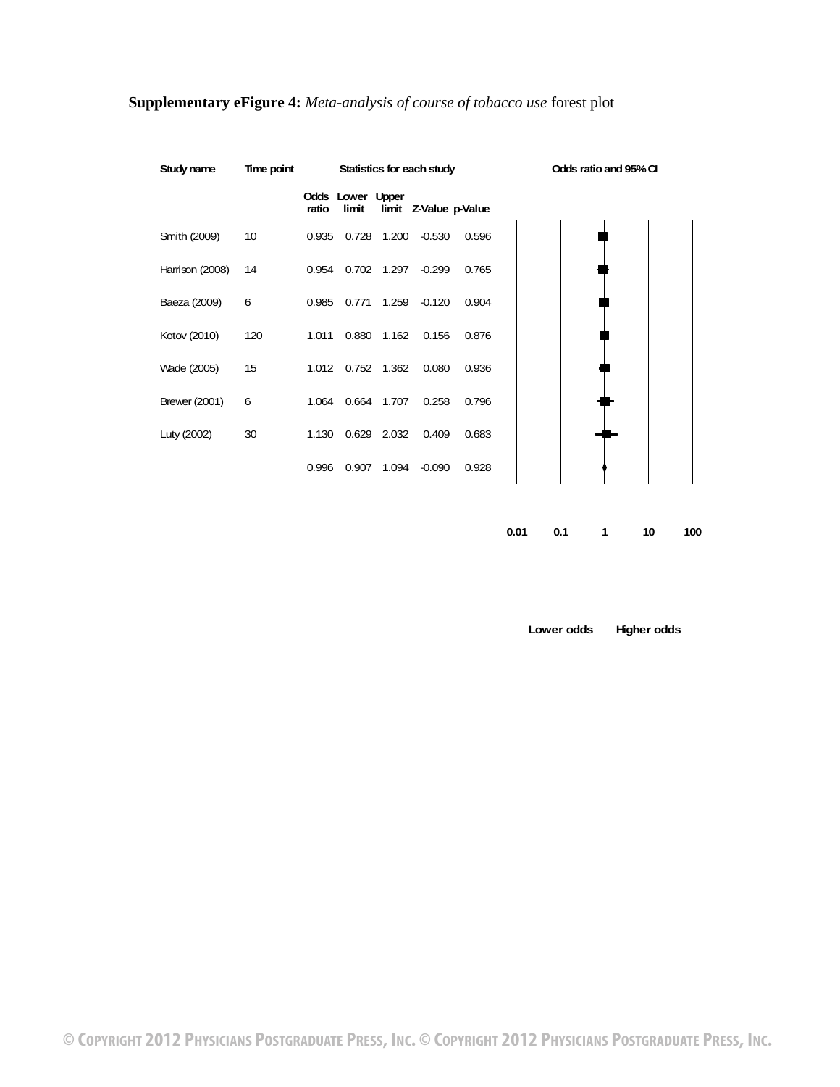

### <span id="page-19-0"></span>**Supplementary eFigure 4:** *Meta-analysis of course of tobacco use* forest plot

**0.01 0.1 1 10 100**

**Lower odds Higher odds**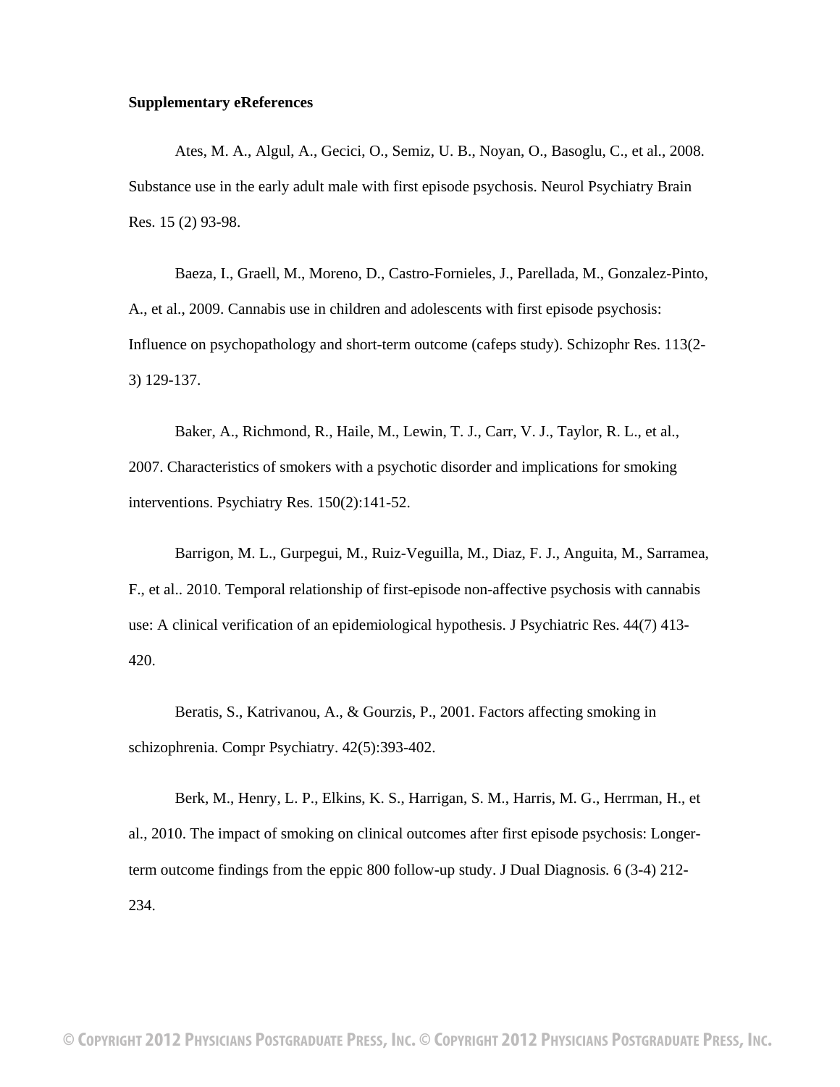#### <span id="page-20-0"></span>**Supplementary eReferences**

Ates, M. A., Algul, A., Gecici, O., Semiz, U. B., Noyan, O., Basoglu, C., et al., 2008. Substance use in the early adult male with first episode psychosis. Neurol Psychiatry Brain Res. 15 (2) 93-98.

Baeza, I., Graell, M., Moreno, D., Castro-Fornieles, J., Parellada, M., Gonzalez-Pinto, A., et al., 2009. Cannabis use in children and adolescents with first episode psychosis: Influence on psychopathology and short-term outcome (cafeps study). Schizophr Res. 113(2- 3) 129-137.

Baker, A., Richmond, R., Haile, M., Lewin, T. J., Carr, V. J., Taylor, R. L., et al., 2007. Characteristics of smokers with a psychotic disorder and implications for smoking interventions. Psychiatry Res. 150(2):141-52.

Barrigon, M. L., Gurpegui, M., Ruiz-Veguilla, M., Diaz, F. J., Anguita, M., Sarramea, F., et al.. 2010. Temporal relationship of first-episode non-affective psychosis with cannabis use: A clinical verification of an epidemiological hypothesis. J Psychiatric Res. 44(7) 413- 420.

Beratis, S., Katrivanou, A., & Gourzis, P., 2001. Factors affecting smoking in schizophrenia. Compr Psychiatry. 42(5):393-402.

Berk, M., Henry, L. P., Elkins, K. S., Harrigan, S. M., Harris, M. G., Herrman, H., et al., 2010. The impact of smoking on clinical outcomes after first episode psychosis: Longerterm outcome findings from the eppic 800 follow-up study. J Dual Diagnosi*s.* 6 (3-4) 212- 234.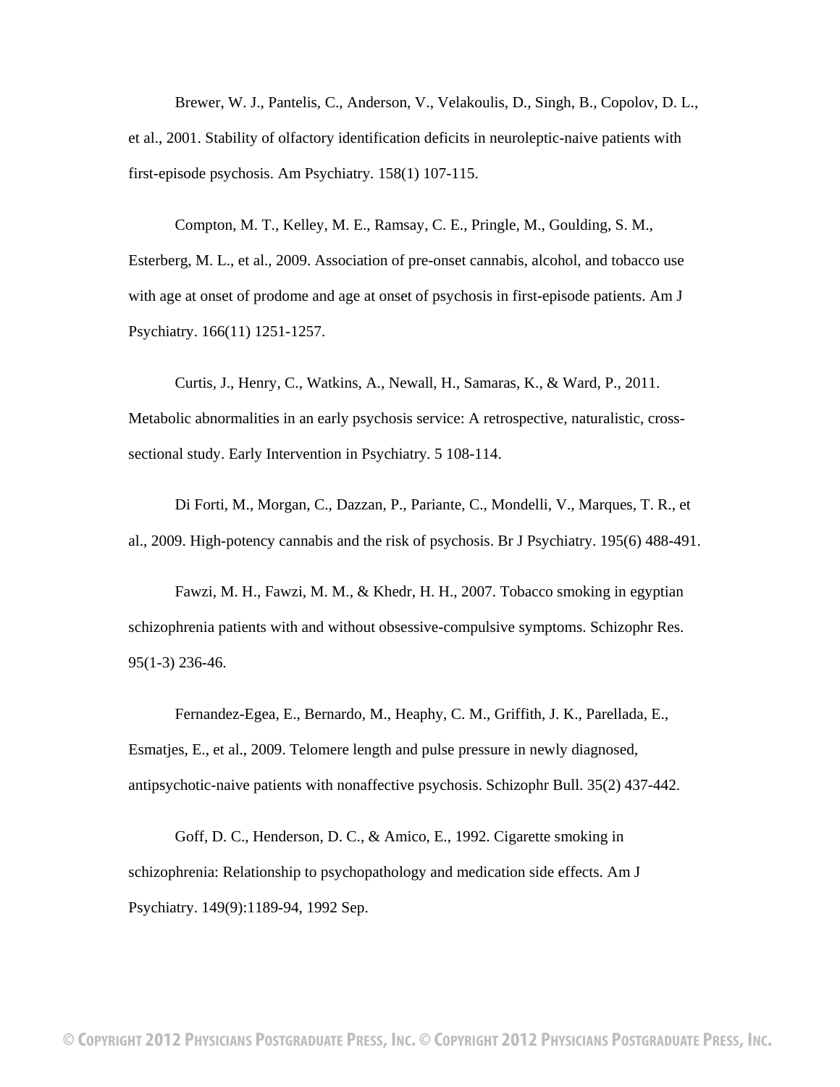Brewer, W. J., Pantelis, C., Anderson, V., Velakoulis, D., Singh, B., Copolov, D. L., et al., 2001. Stability of olfactory identification deficits in neuroleptic-naive patients with first-episode psychosis. Am Psychiatry*.* 158(1) 107-115.

Compton, M. T., Kelley, M. E., Ramsay, C. E., Pringle, M., Goulding, S. M., Esterberg, M. L., et al., 2009. Association of pre-onset cannabis, alcohol, and tobacco use with age at onset of prodome and age at onset of psychosis in first-episode patients. Am J Psychiatry. 166(11) 1251-1257.

Curtis, J., Henry, C., Watkins, A., Newall, H., Samaras, K., & Ward, P., 2011. Metabolic abnormalities in an early psychosis service: A retrospective, naturalistic, crosssectional study. Early Intervention in Psychiatry*.* 5 108-114.

Di Forti, M., Morgan, C., Dazzan, P., Pariante, C., Mondelli, V., Marques, T. R., et al., 2009. High-potency cannabis and the risk of psychosis. Br J Psychiatry. 195(6) 488-491.

Fawzi, M. H., Fawzi, M. M., & Khedr, H. H., 2007. Tobacco smoking in egyptian schizophrenia patients with and without obsessive-compulsive symptoms. Schizophr Res. 95(1-3) 236-46.

Fernandez-Egea, E., Bernardo, M., Heaphy, C. M., Griffith, J. K., Parellada, E., Esmatjes, E., et al., 2009. Telomere length and pulse pressure in newly diagnosed, antipsychotic-naive patients with nonaffective psychosis. Schizophr Bull. 35(2) 437-442.

Goff, D. C., Henderson, D. C., & Amico, E., 1992. Cigarette smoking in schizophrenia: Relationship to psychopathology and medication side effects. Am J Psychiatry. 149(9):1189-94, 1992 Sep.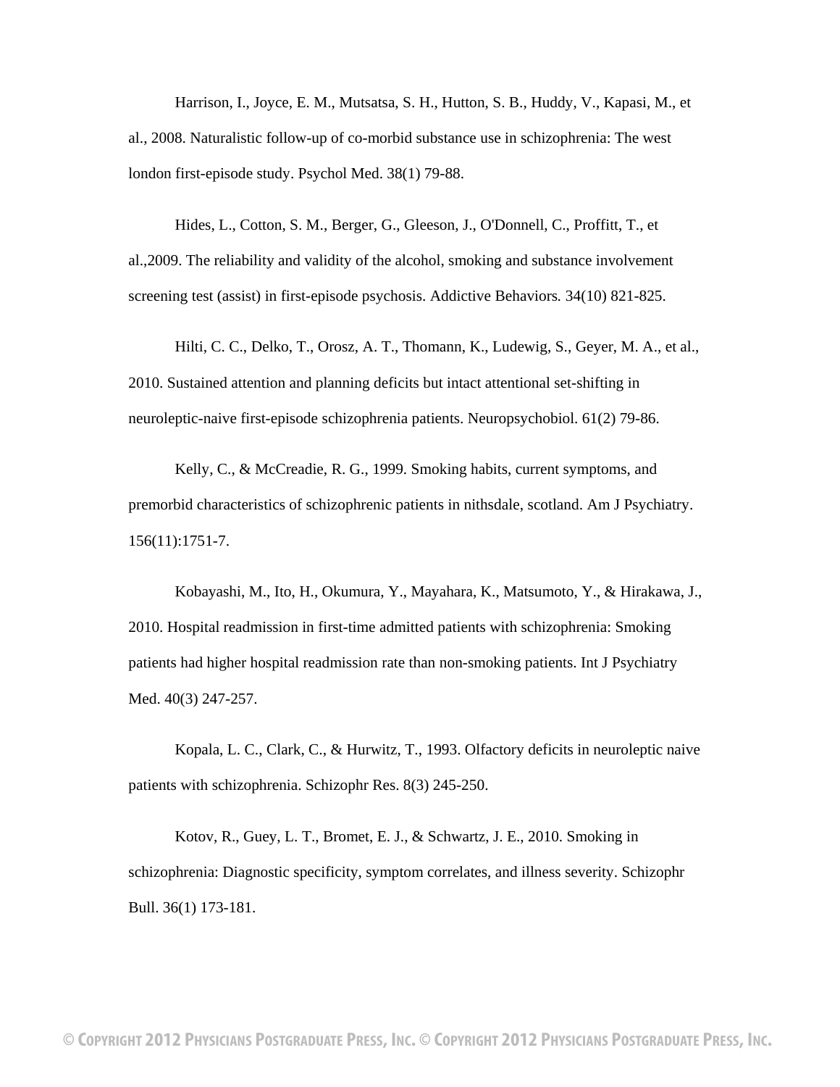Harrison, I., Joyce, E. M., Mutsatsa, S. H., Hutton, S. B., Huddy, V., Kapasi, M., et al., 2008. Naturalistic follow-up of co-morbid substance use in schizophrenia: The west london first-episode study. Psychol Med. 38(1) 79-88.

Hides, L., Cotton, S. M., Berger, G., Gleeson, J., O'Donnell, C., Proffitt, T., et al.,2009. The reliability and validity of the alcohol, smoking and substance involvement screening test (assist) in first-episode psychosis. Addictive Behaviors*.* 34(10) 821-825.

Hilti, C. C., Delko, T., Orosz, A. T., Thomann, K., Ludewig, S., Geyer, M. A., et al., 2010. Sustained attention and planning deficits but intact attentional set-shifting in neuroleptic-naive first-episode schizophrenia patients. Neuropsychobiol. 61(2) 79-86.

Kelly, C., & McCreadie, R. G., 1999. Smoking habits, current symptoms, and premorbid characteristics of schizophrenic patients in nithsdale, scotland. Am J Psychiatry. 156(11):1751-7.

Kobayashi, M., Ito, H., Okumura, Y., Mayahara, K., Matsumoto, Y., & Hirakawa, J., 2010. Hospital readmission in first-time admitted patients with schizophrenia: Smoking patients had higher hospital readmission rate than non-smoking patients. Int J Psychiatry Med. 40(3) 247-257.

Kopala, L. C., Clark, C., & Hurwitz, T., 1993. Olfactory deficits in neuroleptic naive patients with schizophrenia. Schizophr Res. 8(3) 245-250.

Kotov, R., Guey, L. T., Bromet, E. J., & Schwartz, J. E., 2010. Smoking in schizophrenia: Diagnostic specificity, symptom correlates, and illness severity. Schizophr Bull. 36(1) 173-181.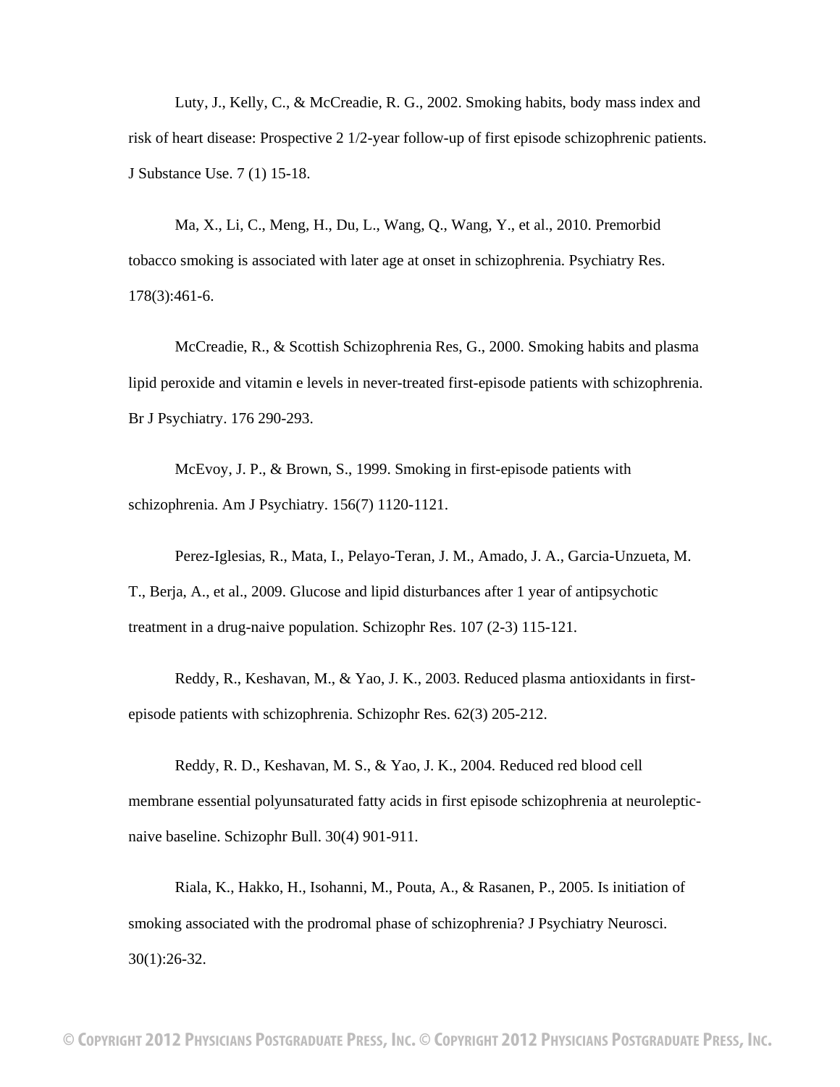Luty, J., Kelly, C., & McCreadie, R. G., 2002. Smoking habits, body mass index and risk of heart disease: Prospective 2 1/2-year follow-up of first episode schizophrenic patients. J Substance Use. 7 (1) 15-18.

Ma, X., Li, C., Meng, H., Du, L., Wang, Q., Wang, Y., et al., 2010. Premorbid tobacco smoking is associated with later age at onset in schizophrenia. Psychiatry Res. 178(3):461-6.

McCreadie, R., & Scottish Schizophrenia Res, G., 2000. Smoking habits and plasma lipid peroxide and vitamin e levels in never-treated first-episode patients with schizophrenia. Br J Psychiatry. 176 290-293.

McEvoy, J. P., & Brown, S., 1999. Smoking in first-episode patients with schizophrenia. Am J Psychiatry*.* 156(7) 1120-1121.

Perez-Iglesias, R., Mata, I., Pelayo-Teran, J. M., Amado, J. A., Garcia-Unzueta, M. T., Berja, A., et al., 2009. Glucose and lipid disturbances after 1 year of antipsychotic treatment in a drug-naive population. Schizophr Res. 107 (2-3) 115-121.

Reddy, R., Keshavan, M., & Yao, J. K., 2003. Reduced plasma antioxidants in firstepisode patients with schizophrenia. Schizophr Res. 62(3) 205-212.

Reddy, R. D., Keshavan, M. S., & Yao, J. K., 2004. Reduced red blood cell membrane essential polyunsaturated fatty acids in first episode schizophrenia at neurolepticnaive baseline. Schizophr Bull. 30(4) 901-911.

Riala, K., Hakko, H., Isohanni, M., Pouta, A., & Rasanen, P., 2005. Is initiation of smoking associated with the prodromal phase of schizophrenia? J Psychiatry Neurosci. 30(1):26-32.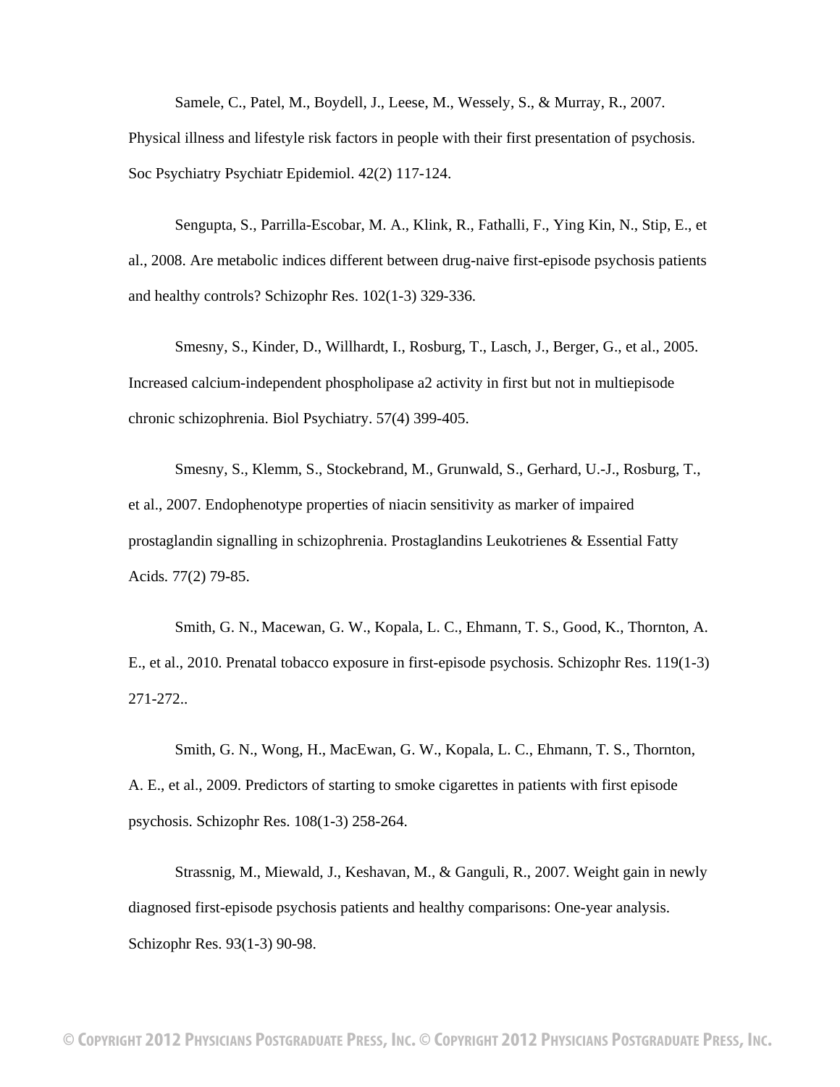Samele, C., Patel, M., Boydell, J., Leese, M., Wessely, S., & Murray, R., 2007. Physical illness and lifestyle risk factors in people with their first presentation of psychosis. Soc Psychiatry Psychiatr Epidemiol. 42(2) 117-124.

Sengupta, S., Parrilla-Escobar, M. A., Klink, R., Fathalli, F., Ying Kin, N., Stip, E., et al., 2008. Are metabolic indices different between drug-naive first-episode psychosis patients and healthy controls? Schizophr Res. 102(1-3) 329-336.

Smesny, S., Kinder, D., Willhardt, I., Rosburg, T., Lasch, J., Berger, G., et al., 2005. Increased calcium-independent phospholipase a2 activity in first but not in multiepisode chronic schizophrenia. Biol Psychiatry. 57(4) 399-405.

Smesny, S., Klemm, S., Stockebrand, M., Grunwald, S., Gerhard, U.-J., Rosburg, T., et al., 2007. Endophenotype properties of niacin sensitivity as marker of impaired prostaglandin signalling in schizophrenia. Prostaglandins Leukotrienes & Essential Fatty Acids*.* 77(2) 79-85.

Smith, G. N., Macewan, G. W., Kopala, L. C., Ehmann, T. S., Good, K., Thornton, A. E., et al., 2010. Prenatal tobacco exposure in first-episode psychosis. Schizophr Res. 119(1-3) 271-272..

Smith, G. N., Wong, H., MacEwan, G. W., Kopala, L. C., Ehmann, T. S., Thornton, A. E., et al., 2009. Predictors of starting to smoke cigarettes in patients with first episode psychosis. Schizophr Res. 108(1-3) 258-264.

Strassnig, M., Miewald, J., Keshavan, M., & Ganguli, R., 2007. Weight gain in newly diagnosed first-episode psychosis patients and healthy comparisons: One-year analysis. Schizophr Res. 93(1-3) 90-98.